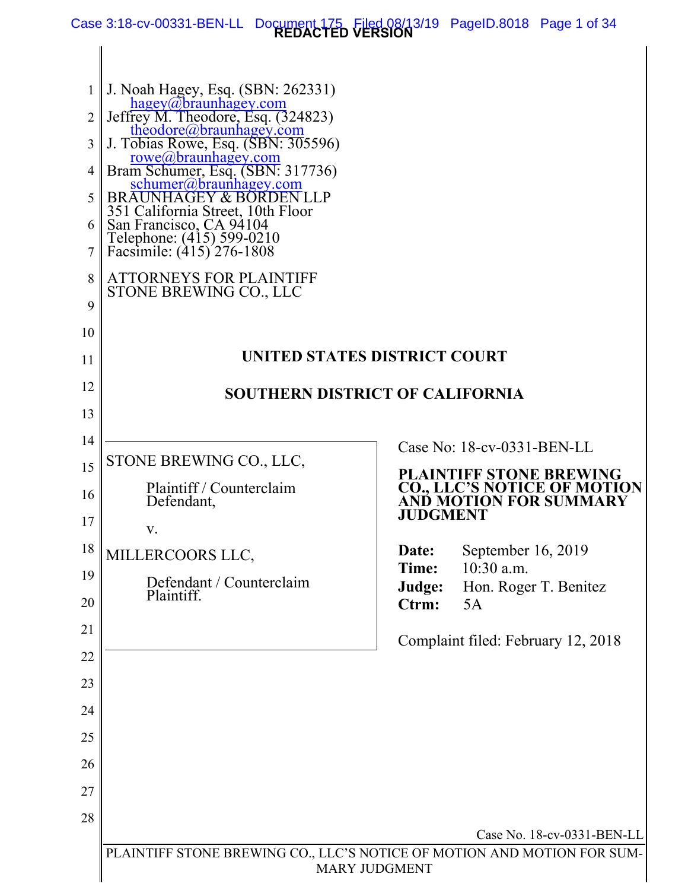**REDACTED VERSION** Case 3:18-cv-00331-BEN-LL Document 175 Filed 08/13/19 PageID.8018 Page 1 of 34

| 2<br>3<br>5<br>8<br>9 | J. Noah Hagey, Esq. (SBN: 262331)<br>hagey@braunhagey.com<br>Jeffrey M. Theodore, Esq. (324823)<br>theodore@braunhagey.com<br>J. Tobias Rowe, Esq. (SBN: 305596)<br>rowe@braunhagey.com<br>Bram Schumer, Esq. (SBN: 317736)<br>schumer@braunhagey.com<br>BRAUNHAGEY & BORDEN LLP<br>351 California Street, 10th Floor<br>San Francisco, CA 94104<br>Telephone: (415) 599-0210<br>Facsimile: (415) 276-1808<br><b>ATTORNEYS FOR PLAINTIFF</b><br>STONE BREWING CO., LLC |                 |                                                              |
|-----------------------|------------------------------------------------------------------------------------------------------------------------------------------------------------------------------------------------------------------------------------------------------------------------------------------------------------------------------------------------------------------------------------------------------------------------------------------------------------------------|-----------------|--------------------------------------------------------------|
| 10                    |                                                                                                                                                                                                                                                                                                                                                                                                                                                                        |                 |                                                              |
| 11                    | <b>UNITED STATES DISTRICT COURT</b>                                                                                                                                                                                                                                                                                                                                                                                                                                    |                 |                                                              |
| 12                    | <b>SOUTHERN DISTRICT OF CALIFORNIA</b>                                                                                                                                                                                                                                                                                                                                                                                                                                 |                 |                                                              |
| 13                    |                                                                                                                                                                                                                                                                                                                                                                                                                                                                        |                 |                                                              |
| 14                    |                                                                                                                                                                                                                                                                                                                                                                                                                                                                        |                 | Case No: 18-cv-0331-BEN-LL                                   |
| 15                    | STONE BREWING CO., LLC,                                                                                                                                                                                                                                                                                                                                                                                                                                                |                 | <b>PLAINTIFF STONE BREWING</b>                               |
| 16                    | Plaintiff / Counterclaim<br>Defendant,                                                                                                                                                                                                                                                                                                                                                                                                                                 | JUDGMENT        | <b>CO., LLC'S NOTICE OF MOTION</b><br>ANĎ MOTION FOR SUMMARY |
| 17                    | V.                                                                                                                                                                                                                                                                                                                                                                                                                                                                     |                 |                                                              |
| 18                    | MILLERCOORS LLC,                                                                                                                                                                                                                                                                                                                                                                                                                                                       | Date:<br>Time:  | September 16, 2019<br>10:30 a.m.                             |
| 19<br>20              | Defendant / Counterclaim<br>Plaintiff.                                                                                                                                                                                                                                                                                                                                                                                                                                 | Judge:<br>Ctrm: | Hon. Roger T. Benitez<br>5A                                  |
| 21                    |                                                                                                                                                                                                                                                                                                                                                                                                                                                                        |                 |                                                              |
| 22                    |                                                                                                                                                                                                                                                                                                                                                                                                                                                                        |                 | Complaint filed: February 12, 2018                           |
| 23                    |                                                                                                                                                                                                                                                                                                                                                                                                                                                                        |                 |                                                              |
| 24                    |                                                                                                                                                                                                                                                                                                                                                                                                                                                                        |                 |                                                              |
| 25                    |                                                                                                                                                                                                                                                                                                                                                                                                                                                                        |                 |                                                              |
| 26                    |                                                                                                                                                                                                                                                                                                                                                                                                                                                                        |                 |                                                              |
| 27                    |                                                                                                                                                                                                                                                                                                                                                                                                                                                                        |                 |                                                              |
| 28                    |                                                                                                                                                                                                                                                                                                                                                                                                                                                                        |                 |                                                              |
|                       | PLAINTIFF STONE BREWING CO., LLC'S NOTICE OF MOTION AND MOTION FOR SUM-                                                                                                                                                                                                                                                                                                                                                                                                |                 | Case No. 18-cv-0331-BEN-LL                                   |
|                       | <b>MARY JUDGMENT</b>                                                                                                                                                                                                                                                                                                                                                                                                                                                   |                 |                                                              |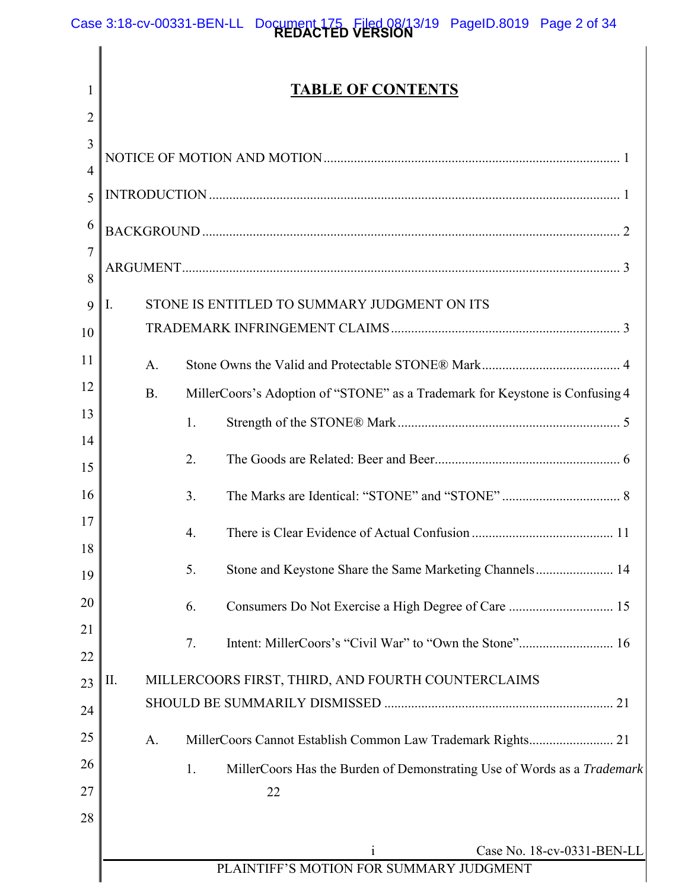1

# **TABLE OF CONTENTS**

| STONE IS ENTITLED TO SUMMARY JUDGMENT ON ITS<br>Ι.<br>9                                   |  |  |
|-------------------------------------------------------------------------------------------|--|--|
|                                                                                           |  |  |
| A.                                                                                        |  |  |
| MillerCoors's Adoption of "STONE" as a Trademark for Keystone is Confusing 4<br><b>B.</b> |  |  |
| 1.                                                                                        |  |  |
|                                                                                           |  |  |
| 2.                                                                                        |  |  |
| 3.                                                                                        |  |  |
| 4.                                                                                        |  |  |
| Stone and Keystone Share the Same Marketing Channels 14<br>5.                             |  |  |
| Consumers Do Not Exercise a High Degree of Care  15<br>6.                                 |  |  |
| 7.                                                                                        |  |  |
|                                                                                           |  |  |
| MILLERCOORS FIRST, THIRD, AND FOURTH COUNTERCLAIMS<br>П.                                  |  |  |
|                                                                                           |  |  |
| MillerCoors Cannot Establish Common Law Trademark Rights 21<br>A.                         |  |  |
| MillerCoors Has the Burden of Demonstrating Use of Words as a Trademark<br>1.             |  |  |
| 22                                                                                        |  |  |
|                                                                                           |  |  |
| Case No. 18-cv-0331-BEN-LL<br>$\mathbf{1}$                                                |  |  |
| PLAINTIFF'S MOTION FOR SUMMARY JUDGMENT                                                   |  |  |
|                                                                                           |  |  |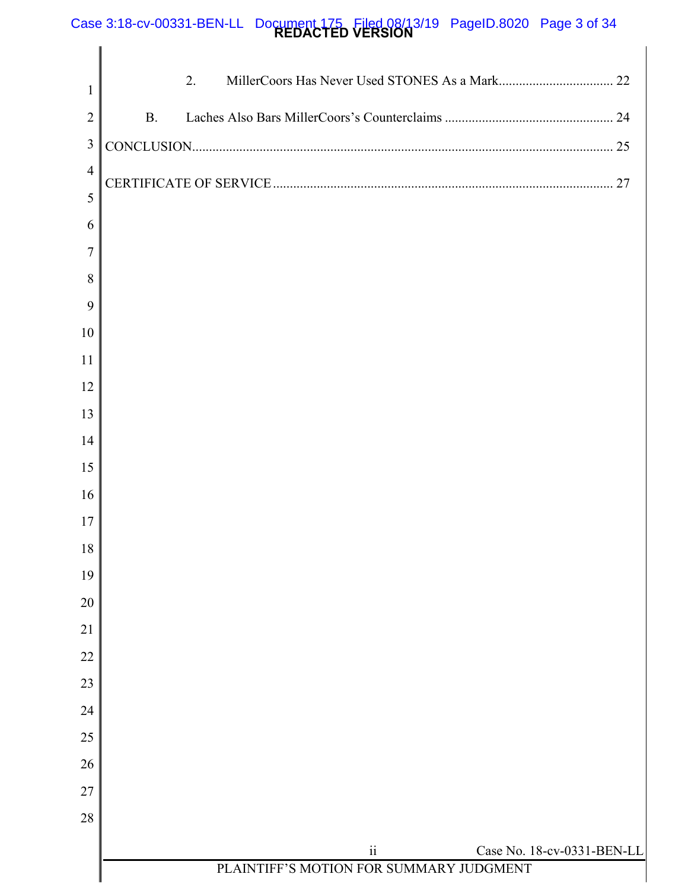### **REDACTED VERSION** Case 3:18-cv-00331-BEN-LL Document 175 Filed 08/13/19 PageID.8020 Page 3 of 34

| 1              | 2.                                                                                |
|----------------|-----------------------------------------------------------------------------------|
| $\overline{2}$ | <b>B.</b>                                                                         |
| $\mathfrak{Z}$ |                                                                                   |
| $\overline{4}$ | 27                                                                                |
| 5              |                                                                                   |
| 6              |                                                                                   |
| $\overline{7}$ |                                                                                   |
| 8              |                                                                                   |
| 9              |                                                                                   |
| 10<br>11       |                                                                                   |
| 12             |                                                                                   |
| 13             |                                                                                   |
| 14             |                                                                                   |
| 15             |                                                                                   |
| 16             |                                                                                   |
| 17             |                                                                                   |
| $18\,$         |                                                                                   |
| 19             |                                                                                   |
| 20             |                                                                                   |
| 21             |                                                                                   |
| 22             |                                                                                   |
| 23             |                                                                                   |
| 24             |                                                                                   |
| 25             |                                                                                   |
| 26             |                                                                                   |
| 27             |                                                                                   |
| 28             |                                                                                   |
|                | $\rm ii$<br>Case No. 18-cv-0331-BEN-LL<br>PLAINTIFF'S MOTION FOR SUMMARY JUDGMENT |
|                |                                                                                   |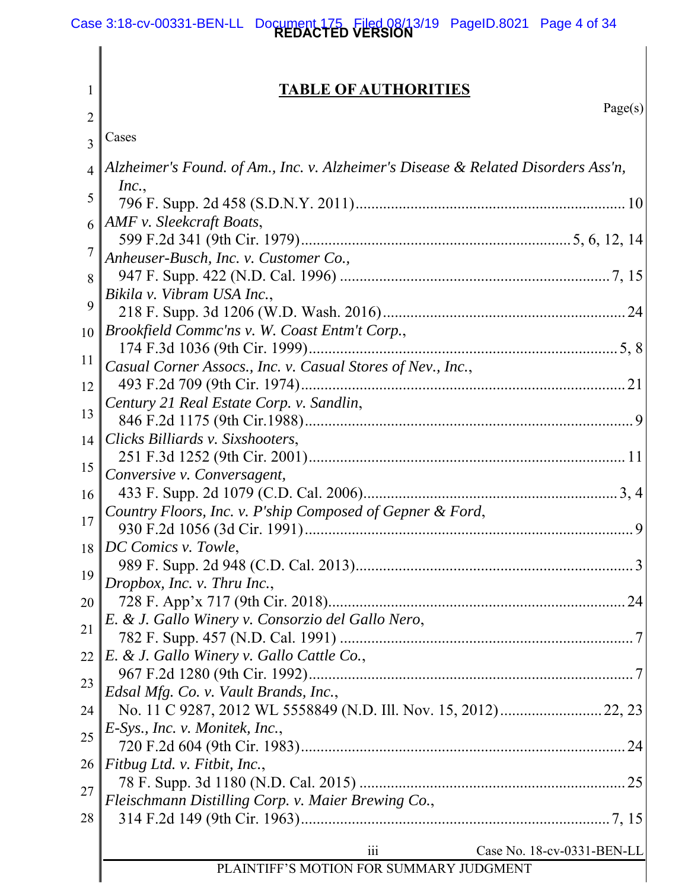#### **REDACTED VERSION** Case 3:18-cv-00331-BEN-LL Document 175 Filed 08/13/19 PageID.8021 Page 4 of 34

#### 1 2 3 4 5 6 7 8 9 10 11 12 13 14 15 16 17 18 19 20 21 22 23 24 25 26 27 28 *Brookfield Commc'ns v. W. Coast Entm't Corp.*, iii Case No. 18-cv-0331-BEN-LL PLAINTIFF'S MOTION FOR SUMMARY JUDGMENT **TABLE OF AUTHORITIES**  Page(s) Cases *Alzheimer's Found. of Am., Inc. v. Alzheimer's Disease & Related Disorders Ass'n, Inc.*, 796 F. Supp. 2d 458 (S.D.N.Y. 2011) ..................................................................... 10 *AMF v. Sleekcraft Boats*, 599 F.2d 341 (9th Cir. 1979) ..................................................................... 5, 6, 12, 14 *Anheuser-Busch, Inc. v. Customer Co.,*  947 F. Supp. 422 (N.D. Cal. 1996) ..................................................................... 7, 15 *Bikila v. Vibram USA Inc.*, 218 F. Supp. 3d 1206 (W.D. Wash. 2016) .............................................................. 24 174 F.3d 1036 (9th Cir. 1999) ............................................................................... 5, 8 *Casual Corner Assocs., Inc. v. Casual Stores of Nev., Inc.*, 493 F.2d 709 (9th Cir. 1974) ................................................................................... 21 *Century 21 Real Estate Corp. v. Sandlin*, 846 F.2d 1175 (9th Cir.1988) .................................................................................... 9 *Clicks Billiards v. Sixshooters*, 251 F.3d 1252 (9th Cir. 2001) ................................................................................. 11 *Conversive v. Conversagent,*  433 F. Supp. 2d 1079 (C.D. Cal. 2006) ................................................................. 3, 4 *Country Floors, Inc. v. P'ship Composed of Gepner & Ford*, 930 F.2d 1056 (3d Cir. 1991) .................................................................................... 9 *DC Comics v. Towle*, 989 F. Supp. 2d 948 (C.D. Cal. 2013) ....................................................................... 3 *Dropbox, Inc. v. Thru Inc.*, 728 F. App'x 717 (9th Cir. 2018) ............................................................................ 24 *E. & J. Gallo Winery v. Consorzio del Gallo Nero*, 782 F. Supp. 457 (N.D. Cal. 1991) ........................................................................... 7 *E. & J. Gallo Winery v. Gallo Cattle Co.*, 967 F.2d 1280 (9th Cir. 1992) ................................................................................... 7 *Edsal Mfg. Co. v. Vault Brands, Inc.*, No. 11 C 9287, 2012 WL 5558849 (N.D. Ill. Nov. 15, 2012) .......................... 22, 23 *E-Sys., Inc. v. Monitek, Inc.*, 720 F.2d 604 (9th Cir. 1983) ................................................................................... 24 *Fitbug Ltd. v. Fitbit, Inc.*, 78 F. Supp. 3d 1180 (N.D. Cal. 2015) .................................................................... 25 *Fleischmann Distilling Corp. v. Maier Brewing Co.*, 314 F.2d 149 (9th Cir. 1963) ............................................................................... 7, 15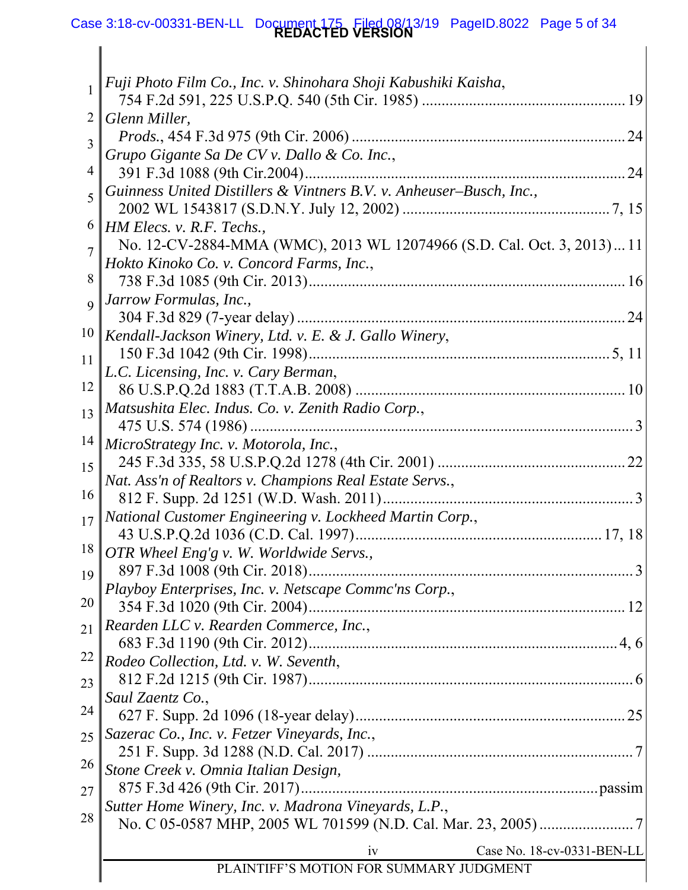#### **REDACTED VERSION** Case 3:18-cv-00331-BEN-LL Document 175 Filed 08/13/19 PageID.8022 Page 5 of 34

|                | Fuji Photo Film Co., Inc. v. Shinohara Shoji Kabushiki Kaisha,         |
|----------------|------------------------------------------------------------------------|
|                |                                                                        |
| 2              | Glenn Miller,                                                          |
| 3              | Grupo Gigante Sa De CV v. Dallo & Co. Inc.,                            |
| 4              | 391 F.3d 1088 (9th Cir.2004)                                           |
|                | Guinness United Distillers & Vintners B.V. v. Anheuser–Busch, Inc.,    |
| 5              |                                                                        |
| 6              | $\parallel$ HM Elecs. v. R.F. Techs.,                                  |
| $\overline{7}$ | No. 12-CV-2884-MMA (WMC), 2013 WL 12074966 (S.D. Cal. Oct. 3, 2013) 11 |
|                | Hokto Kinoko Co. v. Concord Farms, Inc.,                               |
| 8              |                                                                        |
| $\overline{Q}$ | Jarrow Formulas, Inc.,                                                 |
| 10             |                                                                        |
|                | Kendall-Jackson Winery, Ltd. v. E. & J. Gallo Winery,                  |
| 11             | L.C. Licensing, Inc. v. Cary Berman,                                   |
| 12             |                                                                        |
| 13             | Matsushita Elec. Indus. Co. v. Zenith Radio Corp.,                     |
|                |                                                                        |
| 14             | MicroStrategy Inc. v. Motorola, Inc.,                                  |
| 15             |                                                                        |
|                | Nat. Ass'n of Realtors v. Champions Real Estate Servs.,                |
| 16             |                                                                        |
| 17             | National Customer Engineering v. Lockheed Martin Corp.,                |
| 18             | OTR Wheel Eng'g v. W. Worldwide Servs.,                                |
| 19             | 897 F.3d 1008 (9th Cir. 2018)                                          |
|                | Playboy Enterprises, Inc. v. Netscape Commc'ns Corp.,                  |
| 20             |                                                                        |
| 21             | Rearden LLC v. Rearden Commerce, Inc.,                                 |
|                |                                                                        |
| 22             | Rodeo Collection, Ltd. v. W. Seventh,                                  |
| 23             |                                                                        |
| 24             | Saul Zaentz Co.,                                                       |
|                | Sazerac Co., Inc. v. Fetzer Vineyards, Inc.,                           |
| 25             |                                                                        |
| 26             | Stone Creek v. Omnia Italian Design,                                   |
| 27             |                                                                        |
|                | Sutter Home Winery, Inc. v. Madrona Vineyards, L.P.,                   |
| 28             |                                                                        |
|                | Case No. 18-cv-0331-BEN-LL<br>iv                                       |
|                | PLAINTIFF'S MOTION FOR SUMMARY JUDGMENT                                |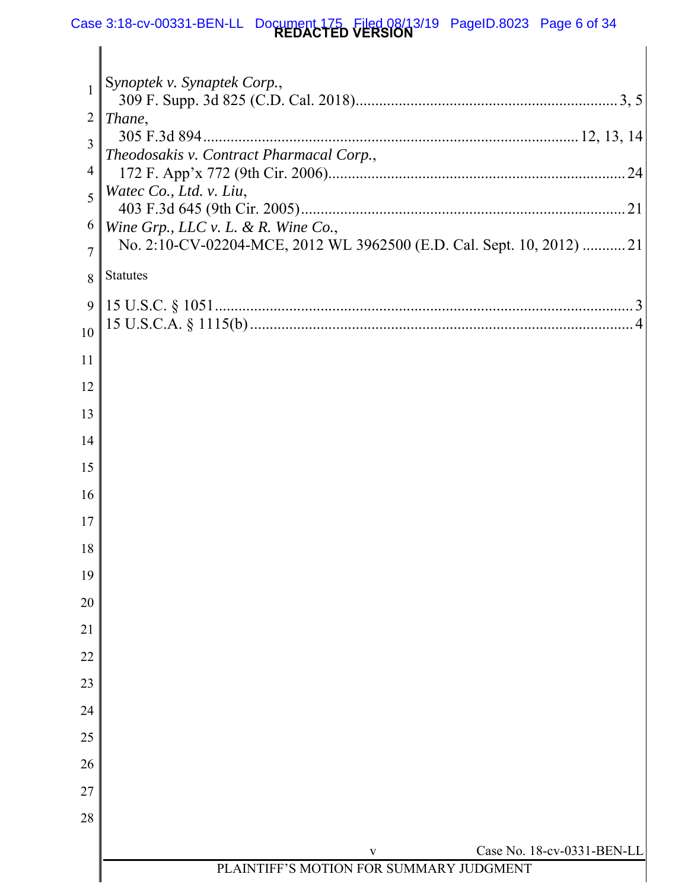#### **REDACTED VERSION** Case 3:18-cv-00331-BEN-LL Document 175 Filed 08/13/19 PageID.8023 Page 6 of 34

| $\mathbf{1}$   | Synoptek v. Synaptek Corp.,                                           |
|----------------|-----------------------------------------------------------------------|
| 2              | Thane,                                                                |
| 3              |                                                                       |
| 4              | Theodosakis v. Contract Pharmacal Corp.,<br>.24                       |
| 5              | Watec Co., Ltd. v. Liu,                                               |
| 6              | Wine Grp., LLC $v$ . L. & R. Wine Co.,                                |
| $\overline{7}$ | No. 2:10-CV-02204-MCE, 2012 WL 3962500 (E.D. Cal. Sept. 10, 2012)  21 |
| 8              | <b>Statutes</b>                                                       |
| 9              |                                                                       |
| 10             |                                                                       |
| 11             |                                                                       |
| 12             |                                                                       |
| 13             |                                                                       |
| 14             |                                                                       |
| 15             |                                                                       |
| 16             |                                                                       |
| 17             |                                                                       |
| 18             |                                                                       |
| 19             |                                                                       |
| 20             |                                                                       |
| 21             |                                                                       |
| 22             |                                                                       |
| 23             |                                                                       |
| 24             |                                                                       |
| 25             |                                                                       |
| 26             |                                                                       |
| 27             |                                                                       |
| 28             |                                                                       |
|                | Case No. 18-cv-0331-BEN-LL<br>$\mathbf{V}$                            |
|                | PLAINTIFF'S MOTION FOR SUMMARY JUDGMENT                               |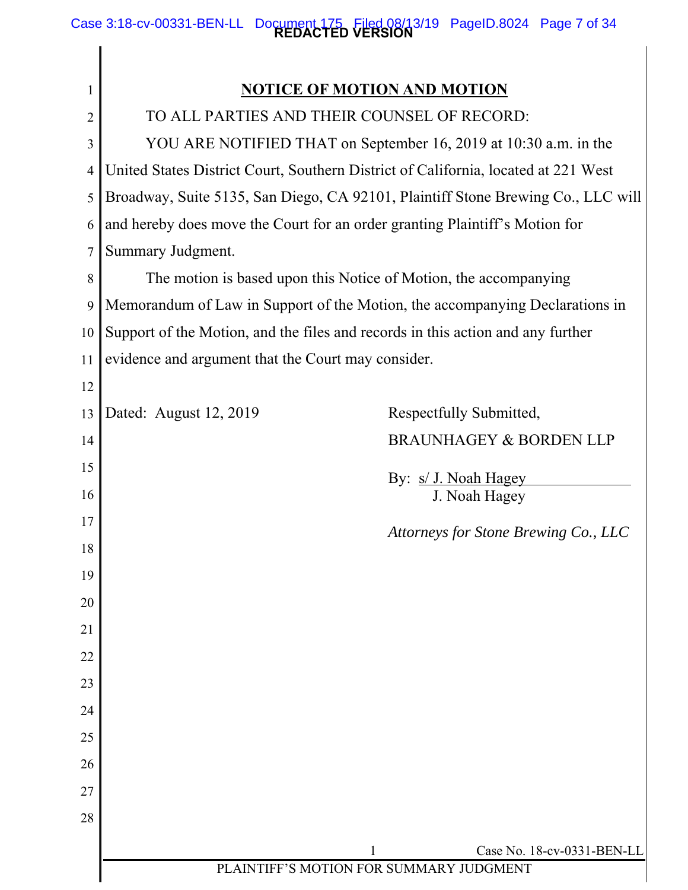### **REDACTED VERSION** Case 3:18-cv-00331-BEN-LL Document 175 Filed 08/13/19 PageID.8024 Page 7 of 34

| $\mathbf{I}$   | <b>NOTICE OF MOTION AND MOTION</b>                                                 |  |  |
|----------------|------------------------------------------------------------------------------------|--|--|
| $\overline{2}$ | TO ALL PARTIES AND THEIR COUNSEL OF RECORD:                                        |  |  |
| 3              | YOU ARE NOTIFIED THAT on September 16, 2019 at 10:30 a.m. in the                   |  |  |
| 4              | United States District Court, Southern District of California, located at 221 West |  |  |
| 5              | Broadway, Suite 5135, San Diego, CA 92101, Plaintiff Stone Brewing Co., LLC will   |  |  |
| 6              | and hereby does move the Court for an order granting Plaintiff's Motion for        |  |  |
| 7              | Summary Judgment.                                                                  |  |  |
| 8              | The motion is based upon this Notice of Motion, the accompanying                   |  |  |
| 9              | Memorandum of Law in Support of the Motion, the accompanying Declarations in       |  |  |
| 10             | Support of the Motion, and the files and records in this action and any further    |  |  |
| 11             | evidence and argument that the Court may consider.                                 |  |  |
| 12             |                                                                                    |  |  |
| 13             | Dated: August 12, 2019<br>Respectfully Submitted,                                  |  |  |
| 14             | <b>BRAUNHAGEY &amp; BORDEN LLP</b>                                                 |  |  |
| 15             | By: s/ J. Noah Hagey                                                               |  |  |
| 16             | J. Noah Hagey                                                                      |  |  |
| 17             | Attorneys for Stone Brewing Co., LLC                                               |  |  |
| 18             |                                                                                    |  |  |
| 19             |                                                                                    |  |  |
| 20             |                                                                                    |  |  |
| 21             |                                                                                    |  |  |
| 22             |                                                                                    |  |  |
| 23             |                                                                                    |  |  |
| 24             |                                                                                    |  |  |
| 25             |                                                                                    |  |  |
| 26             |                                                                                    |  |  |
| 27             |                                                                                    |  |  |
| 28             |                                                                                    |  |  |
|                | Case No. 18-cv-0331-BEN-LL<br>1<br>PLAINTIFF'S MOTION FOR SUMMARY JUDGMENT         |  |  |
|                |                                                                                    |  |  |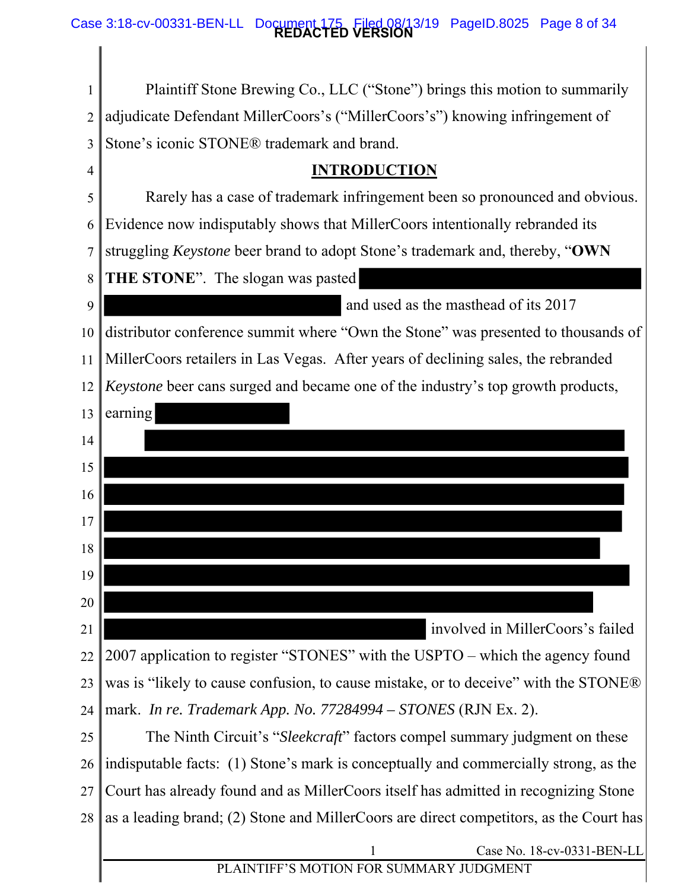### **REDACTED VERSION** Case 3:18-cv-00331-BEN-LL Document 175 Filed 08/13/19 PageID.8025 Page 8 of 34

| 1              | Plaintiff Stone Brewing Co., LLC ("Stone") brings this motion to summarily             |  |  |
|----------------|----------------------------------------------------------------------------------------|--|--|
| $\overline{2}$ | adjudicate Defendant MillerCoors's ("MillerCoors's") knowing infringement of           |  |  |
| 3              | Stone's iconic STONE® trademark and brand.                                             |  |  |
| 4              | <b>INTRODUCTION</b>                                                                    |  |  |
| 5              | Rarely has a case of trademark infringement been so pronounced and obvious.            |  |  |
| 6              | Evidence now indisputably shows that MillerCoors intentionally rebranded its           |  |  |
| $\overline{7}$ | struggling Keystone beer brand to adopt Stone's trademark and, thereby, "OWN           |  |  |
| 8              | THE STONE". The slogan was pasted                                                      |  |  |
| 9              | and used as the masthead of its 2017                                                   |  |  |
| 10             | distributor conference summit where "Own the Stone" was presented to thousands of      |  |  |
| 11             | MillerCoors retailers in Las Vegas. After years of declining sales, the rebranded      |  |  |
| 12             | Keystone beer cans surged and became one of the industry's top growth products,        |  |  |
| 13             | earning                                                                                |  |  |
| 14             |                                                                                        |  |  |
| 15             |                                                                                        |  |  |
| 16             |                                                                                        |  |  |
| 17             |                                                                                        |  |  |
| 18             |                                                                                        |  |  |
| 19             |                                                                                        |  |  |
| 20             |                                                                                        |  |  |
| 21             | involved in MillerCoors's failed                                                       |  |  |
| 22             | 2007 application to register "STONES" with the USPTO – which the agency found          |  |  |
| 23             | was is "likely to cause confusion, to cause mistake, or to deceive" with the STONE®    |  |  |
| 24             | mark. In re. Trademark App. No. 77284994 – STONES (RJN Ex. 2).                         |  |  |
| 25             | The Ninth Circuit's "Sleekcraft" factors compel summary judgment on these              |  |  |
| 26             | indisputable facts: (1) Stone's mark is conceptually and commercially strong, as the   |  |  |
| 27             | Court has already found and as MillerCoors itself has admitted in recognizing Stone    |  |  |
| 28             | as a leading brand; (2) Stone and MillerCoors are direct competitors, as the Court has |  |  |
|                | Case No. 18-cv-0331-BEN-LL<br>1                                                        |  |  |
|                | PLAINTIFF'S MOTION FOR SUMMARY JUDGMENT                                                |  |  |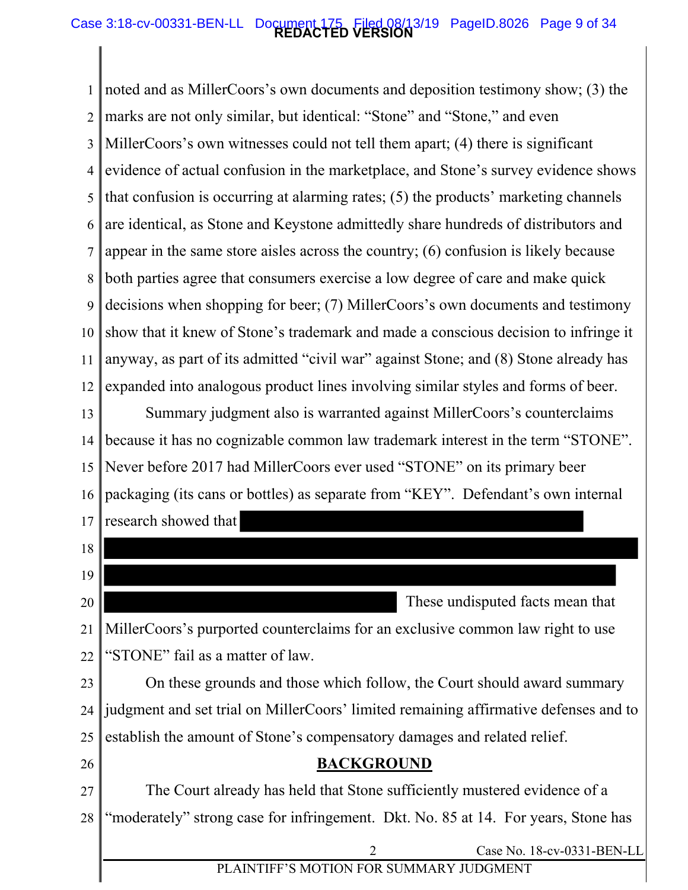### **REDACTED VERSION** Case 3:18-cv-00331-BEN-LL Document 175 Filed 08/13/19 PageID.8026 Page 9 of 34

1 2 3 4 5 6 7 8 9 10 11 12 show that it knew of Stone's trademark and made a conscious decision to infringe it noted and as MillerCoors's own documents and deposition testimony show; (3) the marks are not only similar, but identical: "Stone" and "Stone," and even MillerCoors's own witnesses could not tell them apart; (4) there is significant evidence of actual confusion in the marketplace, and Stone's survey evidence shows that confusion is occurring at alarming rates; (5) the products' marketing channels are identical, as Stone and Keystone admittedly share hundreds of distributors and appear in the same store aisles across the country; (6) confusion is likely because both parties agree that consumers exercise a low degree of care and make quick decisions when shopping for beer; (7) MillerCoors's own documents and testimony anyway, as part of its admitted "civil war" against Stone; and (8) Stone already has expanded into analogous product lines involving similar styles and forms of beer.

13 14 15 16 17 Summary judgment also is warranted against MillerCoors's counterclaims because it has no cognizable common law trademark interest in the term "STONE". Never before 2017 had MillerCoors ever used "STONE" on its primary beer packaging (its cans or bottles) as separate from "KEY". Defendant's own internal research showed that

| 18 |                                                                                      |
|----|--------------------------------------------------------------------------------------|
| 19 |                                                                                      |
| 20 | These undisputed facts mean that                                                     |
| 21 | MillerCoors's purported counterclaims for an exclusive common law right to use       |
| 22 | "STONE" fail as a matter of law.                                                     |
| 23 | On these grounds and those which follow, the Court should award summary              |
| 24 | judgment and set trial on MillerCoors' limited remaining affirmative defenses and to |
| 25 | establish the amount of Stone's compensatory damages and related relief.             |
| 26 | <b>BACKGROUND</b>                                                                    |
| 27 | The Court already has held that Stone sufficiently mustered evidence of a            |
| 28 | "moderately" strong case for infringement. Dkt. No. 85 at 14. For years, Stone has   |
|    | $\overline{2}$<br>Case No. 18-cv-0331-BEN-LL                                         |
|    | PLAINTIFF'S MOTION FOR SUMMARY JUDGMENT                                              |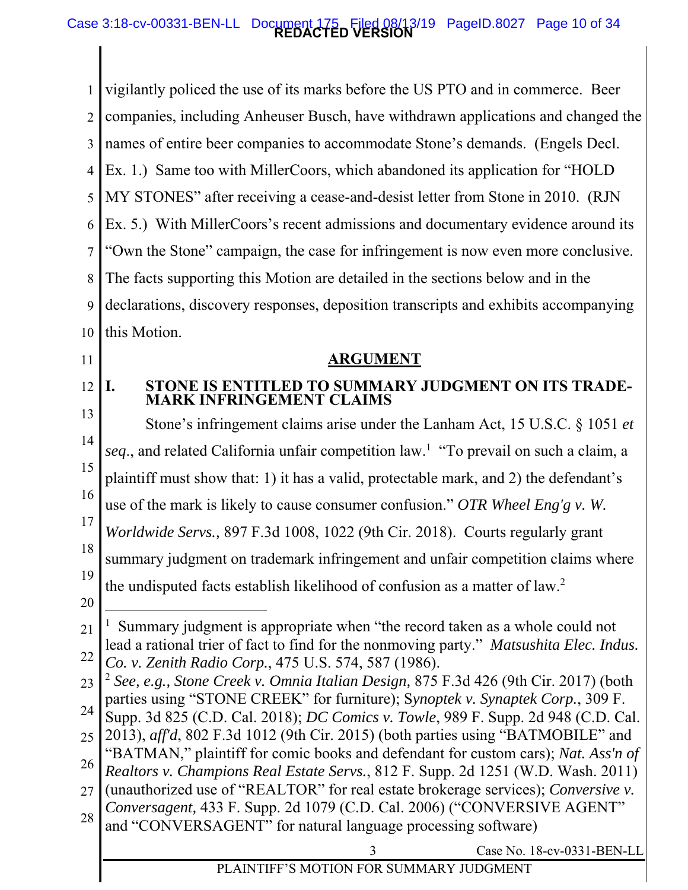### **REDACTED VERSION** Case 3:18-cv-00331-BEN-LL Document 175 Filed 08/13/19 PageID.8027 Page 10 of 34

1 2 3 4 5 6 7 8 9 10 this Motion. vigilantly policed the use of its marks before the US PTO and in commerce. Beer companies, including Anheuser Busch, have withdrawn applications and changed the names of entire beer companies to accommodate Stone's demands. (Engels Decl. Ex. 1.) Same too with MillerCoors, which abandoned its application for "HOLD MY STONES" after receiving a cease-and-desist letter from Stone in 2010. (RJN Ex. 5.) With MillerCoors's recent admissions and documentary evidence around its "Own the Stone" campaign, the case for infringement is now even more conclusive. The facts supporting this Motion are detailed in the sections below and in the declarations, discovery responses, deposition transcripts and exhibits accompanying

11

12

**I. STONE IS ENTITLED TO SUMMARY JUDGMENT ON ITS TRADE-MARK INFRINGEMENT CLAIMS** 

**ARGUMENT** 

13 14 15 16 17 18 19 Stone's infringement claims arise under the Lanham Act, 15 U.S.C. § 1051 *et*  seq., and related California unfair competition law.<sup>1</sup> "To prevail on such a claim, a plaintiff must show that: 1) it has a valid, protectable mark, and 2) the defendant's use of the mark is likely to cause consumer confusion." *OTR Wheel Eng'g v. W. Worldwide Servs.,* 897 F.3d 1008, 1022 (9th Cir. 2018). Courts regularly grant summary judgment on trademark infringement and unfair competition claims where the undisputed facts establish likelihood of confusion as a matter of law.<sup>2</sup>

20

 $\overline{a}$ 

21 22 <sup>1</sup> Summary judgment is appropriate when "the record taken as a whole could not lead a rational trier of fact to find for the nonmoving party." *Matsushita Elec. Indus.* 

*Co. v. Zenith Radio Corp.*, 475 U.S. 574, 587 (1986).

- 24 Supp. 3d 825 (C.D. Cal. 2018); *DC Comics v. Towle*, 989 F. Supp. 2d 948 (C.D. Cal.
- 25 2013), *aff'd*, 802 F.3d 1012 (9th Cir. 2015) (both parties using "BATMOBILE" and

28 and "CONVERSAGENT" for natural language processing software)

<sup>23</sup>  <sup>2</sup> *See, e.g., Stone Creek v. Omnia Italian Design,* 875 F.3d 426 (9th Cir. 2017) (both parties using "STONE CREEK" for furniture); S*ynoptek v. Synaptek Corp.*, 309 F.

<sup>26</sup>  "BATMAN," plaintiff for comic books and defendant for custom cars); *Nat. Ass'n of Realtors v. Champions Real Estate Servs.*, 812 F. Supp. 2d 1251 (W.D. Wash. 2011)

<sup>27</sup>  (unauthorized use of "REALTOR" for real estate brokerage services); *Conversive v. Conversagent,* 433 F. Supp. 2d 1079 (C.D. Cal. 2006) ("CONVERSIVE AGENT"

Case No. 18-cv-0331-BEN-LL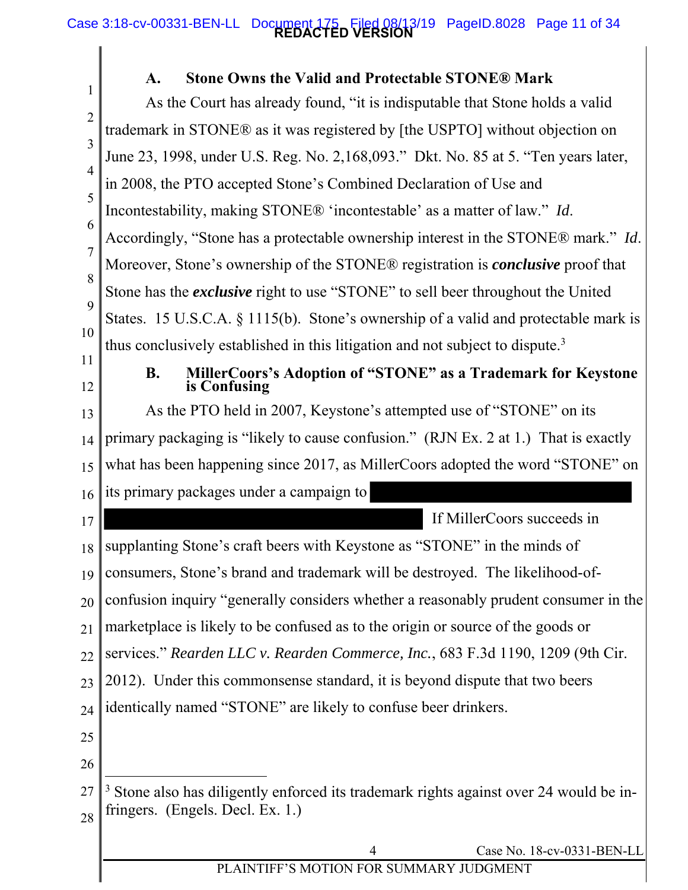### **REDACTED VERSION** Case 3:18-cv-00331-BEN-LL Document 175 Filed 08/13/19 PageID.8028 Page 11 of 34

 $\mathbf{I}$ 

| 1              | <b>Stone Owns the Valid and Protectable STONE® Mark</b><br>$\mathbf{A}$ .                         |
|----------------|---------------------------------------------------------------------------------------------------|
| $\overline{2}$ | As the Court has already found, "it is indisputable that Stone holds a valid                      |
| 3              | trademark in STONE® as it was registered by [the USPTO] without objection on                      |
|                | June 23, 1998, under U.S. Reg. No. 2, 168, 093." Dkt. No. 85 at 5. "Ten years later,              |
| 4              | in 2008, the PTO accepted Stone's Combined Declaration of Use and                                 |
| 5              | Incontestability, making STONE® 'incontestable' as a matter of law." Id.                          |
| 6              | Accordingly, "Stone has a protectable ownership interest in the STONE® mark." Id.                 |
| $\overline{7}$ | Moreover, Stone's ownership of the STONE® registration is <i>conclusive</i> proof that            |
| 8              | Stone has the <i>exclusive</i> right to use "STONE" to sell beer throughout the United            |
| 9              | States. 15 U.S.C.A. $\S$ 1115(b). Stone's ownership of a valid and protectable mark is            |
| 10             | thus conclusively established in this litigation and not subject to dispute. <sup>3</sup>         |
| 11<br>12       | <b>B.</b><br>MillerCoors's Adoption of "STONE" as a Trademark for Keystone<br>is Confusing        |
| 13             | As the PTO held in 2007, Keystone's attempted use of "STONE" on its                               |
| 14             | primary packaging is "likely to cause confusion." (RJN Ex. 2 at 1.) That is exactly               |
| 15             | what has been happening since 2017, as MillerCoors adopted the word "STONE" on                    |
| 16             | its primary packages under a campaign to                                                          |
| 17             | If MillerCoors succeeds in                                                                        |
|                | 18    supplanting Stone's craft beers with Keystone as "STONE" in the minds of                    |
| 19             | consumers, Stone's brand and trademark will be destroyed. The likelihood-of-                      |
| 20             | confusion inquiry "generally considers whether a reasonably prudent consumer in the               |
| 21             | marketplace is likely to be confused as to the origin or source of the goods or                   |
| 22             | services." Rearden LLC v. Rearden Commerce, Inc., 683 F.3d 1190, 1209 (9th Cir.                   |
| 23             | 2012). Under this commonsense standard, it is beyond dispute that two beers                       |
| 24             | identically named "STONE" are likely to confuse beer drinkers.                                    |
| 25             |                                                                                                   |
| 26             |                                                                                                   |
| 27             | <sup>3</sup> Stone also has diligently enforced its trademark rights against over 24 would be in- |
| 28             | fringers. (Engels. Decl. Ex. 1.)                                                                  |
|                | Case No. 18-cv-0331-BEN-LL<br>4                                                                   |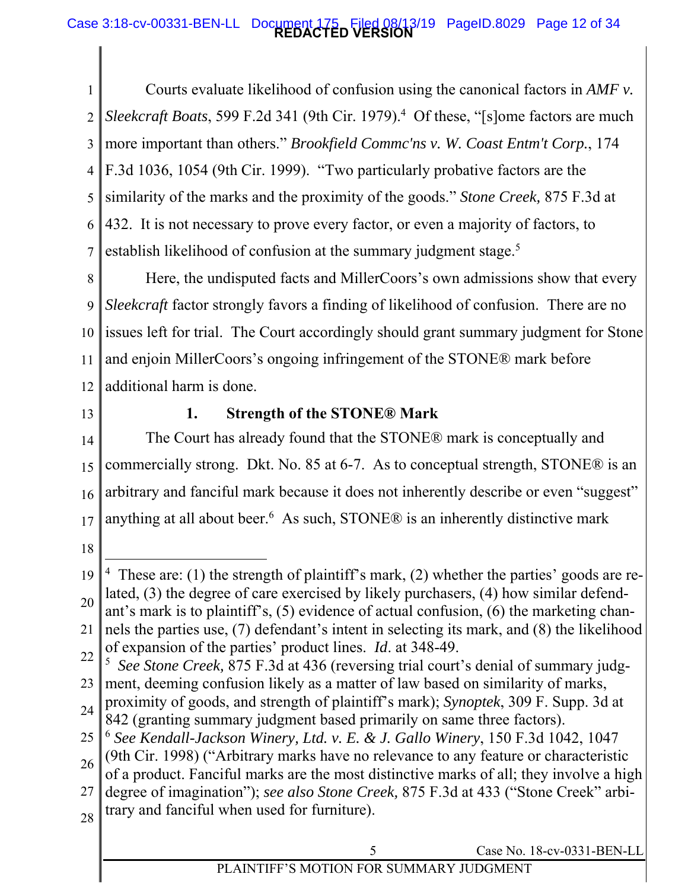### **REDACTED VERSION** Case 3:18-cv-00331-BEN-LL Document 175 Filed 08/13/19 PageID.8029 Page 12 of 34

1 2 3 4 5 6 7 Courts evaluate likelihood of confusion using the canonical factors in *AMF v.*  Sleekcraft Boats, 599 F.2d 341 (9th Cir. 1979).<sup>4</sup> Of these, "[s]ome factors are much more important than others." *Brookfield Commc'ns v. W. Coast Entm't Corp.*, 174 F.3d 1036, 1054 (9th Cir. 1999). "Two particularly probative factors are the similarity of the marks and the proximity of the goods." *Stone Creek,* 875 F.3d at 432. It is not necessary to prove every factor, or even a majority of factors, to establish likelihood of confusion at the summary judgment stage.<sup>5</sup>

8 9 10 11 12 issues left for trial. The Court accordingly should grant summary judgment for Stone Here, the undisputed facts and MillerCoors's own admissions show that every *Sleekcraft* factor strongly favors a finding of likelihood of confusion. There are no and enjoin MillerCoors's ongoing infringement of the STONE® mark before additional harm is done.

13

## **1. Strength of the STONE® Mark**

14 15 16 17 The Court has already found that the STONE® mark is conceptually and commercially strong. Dkt. No. 85 at 6-7. As to conceptual strength, STONE® is an arbitrary and fanciful mark because it does not inherently describe or even "suggest" anything at all about beer.<sup>6</sup> As such, STONE® is an inherently distinctive mark

18

28

<sup>19</sup>  20 21  $\overline{a}$ <sup>4</sup> These are: (1) the strength of plaintiff's mark, (2) whether the parties' goods are related, (3) the degree of care exercised by likely purchasers, (4) how similar defendant's mark is to plaintiff's, (5) evidence of actual confusion, (6) the marketing channels the parties use, (7) defendant's intent in selecting its mark, and (8) the likelihood

of expansion of the parties' product lines. *Id*. at 348-49.

<sup>22</sup>  23 <sup>5</sup> See Stone Creek, 875 F.3d at 436 (reversing trial court's denial of summary judgment, deeming confusion likely as a matter of law based on similarity of marks,

<sup>24</sup>  proximity of goods, and strength of plaintiff's mark); *Synoptek*, 309 F. Supp. 3d at 842 (granting summary judgment based primarily on same three factors).

<sup>25</sup>  <sup>6</sup> *See Kendall-Jackson Winery, Ltd. v. E. & J. Gallo Winery*, 150 F.3d 1042, 1047

<sup>26</sup>  (9th Cir. 1998) ("Arbitrary marks have no relevance to any feature or characteristic

<sup>27</sup>  of a product. Fanciful marks are the most distinctive marks of all; they involve a high degree of imagination"); *see also Stone Creek,* 875 F.3d at 433 ("Stone Creek" arbitrary and fanciful when used for furniture).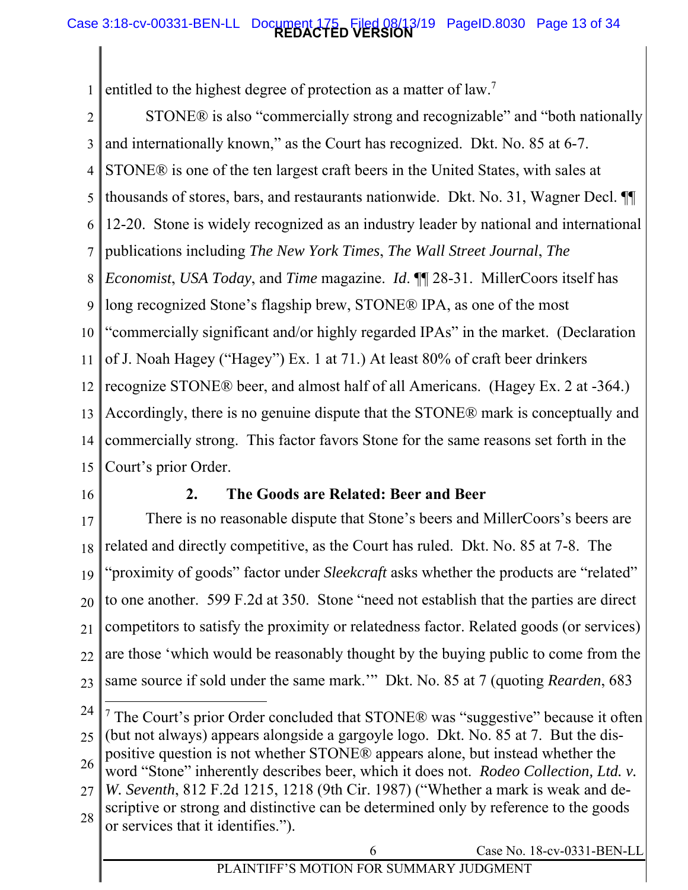### **REDACTED VERSION** Case 3:18-cv-00331-BEN-LL Document 175 Filed 08/13/19 PageID.8030 Page 13 of 34

1 entitled to the highest degree of protection as a matter of law.<sup>7</sup>

2 3 4 5 6 7 8 9 10 11 12 13 14 15 "commercially significant and/or highly regarded IPAs" in the market. (Declaration STONE® is also "commercially strong and recognizable" and "both nationally and internationally known," as the Court has recognized. Dkt. No. 85 at 6-7. STONE® is one of the ten largest craft beers in the United States, with sales at thousands of stores, bars, and restaurants nationwide. Dkt. No. 31, Wagner Decl. ¶¶ 12-20. Stone is widely recognized as an industry leader by national and international publications including *The New York Times*, *The Wall Street Journal*, *The Economist*, *USA Today*, and *Time* magazine. *Id*. ¶¶ 28-31. MillerCoors itself has long recognized Stone's flagship brew, STONE® IPA, as one of the most of J. Noah Hagey ("Hagey") Ex. 1 at 71.) At least 80% of craft beer drinkers recognize STONE® beer, and almost half of all Americans. (Hagey Ex. 2 at -364.) Accordingly, there is no genuine dispute that the STONE® mark is conceptually and commercially strong. This factor favors Stone for the same reasons set forth in the Court's prior Order.

16

### **2. The Goods are Related: Beer and Beer**

17 18 19 20 21 22 23 There is no reasonable dispute that Stone's beers and MillerCoors's beers are related and directly competitive, as the Court has ruled. Dkt. No. 85 at 7-8. The "proximity of goods" factor under *Sleekcraft* asks whether the products are "related" to one another. 599 F.2d at 350. Stone "need not establish that the parties are direct competitors to satisfy the proximity or relatedness factor. Related goods (or services) are those 'which would be reasonably thought by the buying public to come from the same source if sold under the same mark.'" Dkt. No. 85 at 7 (quoting *Rearden*, 683

24 25 26 27 28  $\overline{a}$ <sup>7</sup> The Court's prior Order concluded that STONE® was "suggestive" because it often (but not always) appears alongside a gargoyle logo. Dkt. No. 85 at 7. But the dispositive question is not whether STONE® appears alone, but instead whether the word "Stone" inherently describes beer, which it does not. *Rodeo Collection, Ltd. v. W. Seventh*, 812 F.2d 1215, 1218 (9th Cir. 1987) ("Whether a mark is weak and descriptive or strong and distinctive can be determined only by reference to the goods or services that it identifies.").

6 Case No. 18-cv-0331-BEN-LL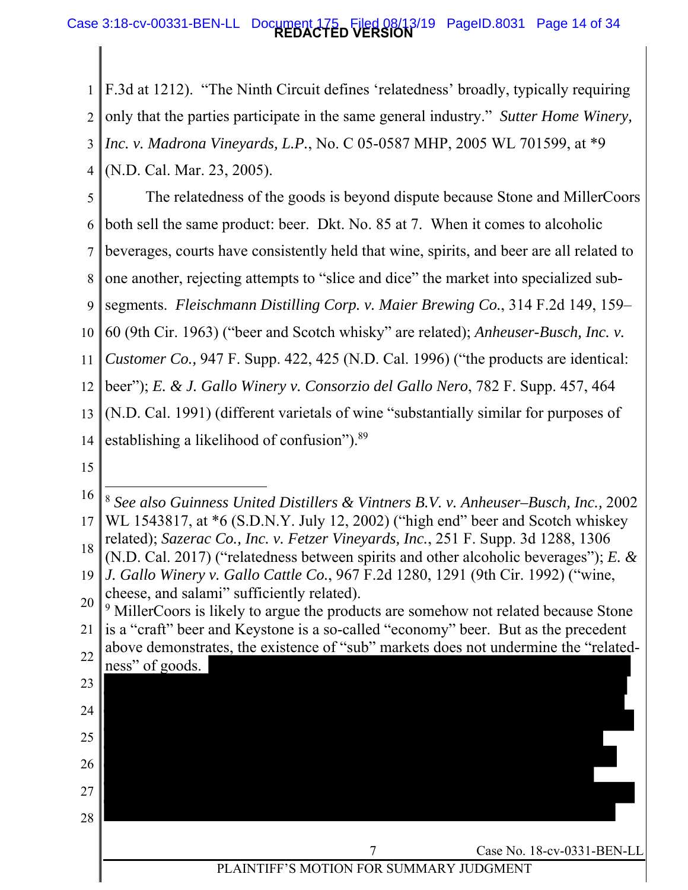### **REDACTED VERSION** Case 3:18-cv-00331-BEN-LL Document 175 Filed 08/13/19 PageID.8031 Page 14 of 34

1 F.3d at 1212). "The Ninth Circuit defines 'relatedness' broadly, typically requiring

2 only that the parties participate in the same general industry." *Sutter Home Winery,* 

- 3 *Inc. v. Madrona Vineyards, L.P.*, No. C 05-0587 MHP, 2005 WL 701599, at \*9
- 4 (N.D. Cal. Mar. 23, 2005).

5 The relatedness of the goods is beyond dispute because Stone and MillerCoors

6 both sell the same product: beer. Dkt. No. 85 at 7. When it comes to alcoholic

7 beverages, courts have consistently held that wine, spirits, and beer are all related to

8 one another, rejecting attempts to "slice and dice" the market into specialized sub-

9 segments. *Fleischmann Distilling Corp. v. Maier Brewing Co.*, 314 F.2d 149, 159–

10 60 (9th Cir. 1963) ("beer and Scotch whisky" are related); *Anheuser-Busch, Inc. v.* 

11 *Customer Co.,* 947 F. Supp. 422, 425 (N.D. Cal. 1996) ("the products are identical:

12 beer"); *E. & J. Gallo Winery v. Consorzio del Gallo Nero*, 782 F. Supp. 457, 464

13 (N.D. Cal. 1991) (different varietals of wine "substantially similar for purposes of

14 establishing a likelihood of confusion").<sup>89</sup>

15

<sup>16</sup>  17 18 19 *J. Gallo Winery v. Gallo Cattle Co.*, 967 F.2d 1280, 1291 (9th Cir. 1992) ("wine, 20 21 22 23 24 25 26 27 28 Case No. 18-cv-0331-BEN-LL PLAINTIFF'S MOTION FOR SUMMARY JUDGMENT  $\overline{a}$ <sup>8</sup> *See also Guinness United Distillers & Vintners B.V. v. Anheuser–Busch, Inc.,* 2002 WL 1543817, at \*6 (S.D.N.Y. July 12, 2002) ("high end" beer and Scotch whiskey related); *Sazerac Co., Inc. v. Fetzer Vineyards, Inc.*, 251 F. Supp. 3d 1288, 1306 (N.D. Cal. 2017) ("relatedness between spirits and other alcoholic beverages"); *E. &*  cheese, and salami" sufficiently related). <sup>9</sup> MillerCoors is likely to argue the products are somehow not related because Stone is a "craft" beer and Keystone is a so-called "economy" beer. But as the precedent above demonstrates, the existence of "sub" markets does not undermine the "relatedness" of goods.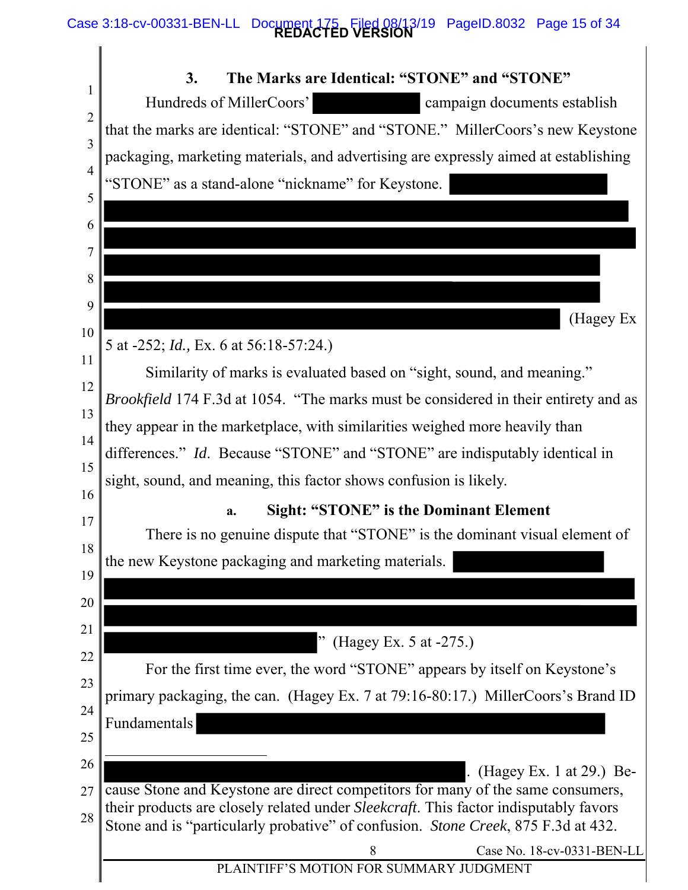### **REDACTED VERSION** Case 3:18-cv-00331-BEN-LL Document 175 Filed 08/13/19 PageID.8032 Page 15 of 34

| 1              | 3.<br>The Marks are Identical: "STONE" and "STONE"                                                                                                                        |
|----------------|---------------------------------------------------------------------------------------------------------------------------------------------------------------------------|
| $\overline{2}$ | Hundreds of MillerCoors'<br>campaign documents establish                                                                                                                  |
| 3              | that the marks are identical: "STONE" and "STONE." MillerCoors's new Keystone                                                                                             |
| $\overline{4}$ | packaging, marketing materials, and advertising are expressly aimed at establishing                                                                                       |
| 5              | "STONE" as a stand-alone "nickname" for Keystone.                                                                                                                         |
| 6              |                                                                                                                                                                           |
| 7              |                                                                                                                                                                           |
|                |                                                                                                                                                                           |
| 8              |                                                                                                                                                                           |
| 9              | (Hagey Ex                                                                                                                                                                 |
| 10             | 5 at -252; <i>Id.</i> , Ex. 6 at 56:18-57:24.)                                                                                                                            |
| 11             | Similarity of marks is evaluated based on "sight, sound, and meaning."                                                                                                    |
| 12             | <i>Brookfield</i> 174 F.3d at 1054. "The marks must be considered in their entirety and as                                                                                |
| 13             | they appear in the marketplace, with similarities weighed more heavily than                                                                                               |
| 14             | differences." Id. Because "STONE" and "STONE" are indisputably identical in                                                                                               |
| 15             | sight, sound, and meaning, this factor shows confusion is likely.                                                                                                         |
| 16             | <b>Sight: "STONE" is the Dominant Element</b><br>a.                                                                                                                       |
| 17             | There is no genuine dispute that "STONE" is the dominant visual element of                                                                                                |
| 18             | the new Keystone packaging and marketing materials.                                                                                                                       |
| 19             |                                                                                                                                                                           |
| 20             |                                                                                                                                                                           |
| 21             | (Hagey Ex. 5 at -275.)                                                                                                                                                    |
| 22             | For the first time ever, the word "STONE" appears by itself on Keystone's                                                                                                 |
| 23             | primary packaging, the can. (Hagey Ex. 7 at 79:16-80:17.) MillerCoors's Brand ID                                                                                          |
| 24             | Fundamentals                                                                                                                                                              |
| 25             |                                                                                                                                                                           |
| 26             | (Hagey Ex. 1 at 29.) Be-                                                                                                                                                  |
| 27             | cause Stone and Keystone are direct competitors for many of the same consumers,                                                                                           |
| 28             | their products are closely related under Sleekcraft. This factor indisputably favors<br>Stone and is "particularly probative" of confusion. Stone Creek, 875 F.3d at 432. |
|                | 8<br>Case No. 18-cv-0331-BEN-LL                                                                                                                                           |
|                | PLAINTIFF'S MOTION FOR SUMMARY JUDGMENT                                                                                                                                   |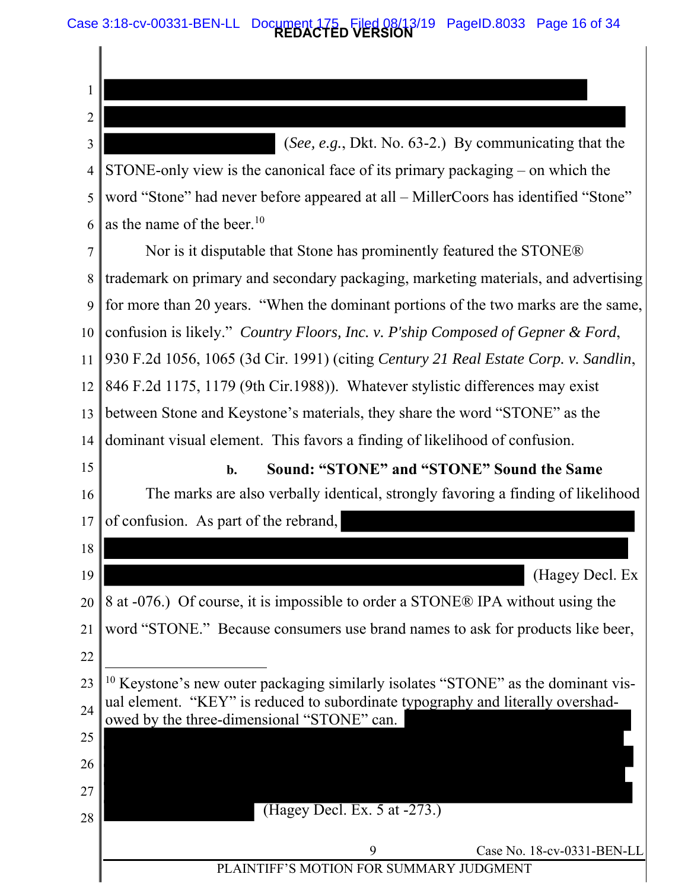**REDACTED VERSION** Case 3:18-cv-00331-BEN-LL Document 175 Filed 08/13/19 PageID.8033 Page 16 of 34

1 2 3 4 5 6 7 8 9 10 11 12 13 14 15 16 17 18 19 20 21 22 23 24 25 26 27 28 confusion is likely." *Country Floors, Inc. v. P'ship Composed of Gepner & Ford*, 9 Case No. 18-cv-0331-BEN-LL PLAINTIFF'S MOTION FOR SUMMARY JUDGMENT (*See, e.g.*, Dkt. No. 63-2.) By communicating that the STONE-only view is the canonical face of its primary packaging – on which the word "Stone" had never before appeared at all – MillerCoors has identified "Stone" as the name of the beer.<sup>10</sup> Nor is it disputable that Stone has prominently featured the STONE® trademark on primary and secondary packaging, marketing materials, and advertising for more than 20 years. "When the dominant portions of the two marks are the same, 930 F.2d 1056, 1065 (3d Cir. 1991) (citing *Century 21 Real Estate Corp. v. Sandlin*, 846 F.2d 1175, 1179 (9th Cir.1988)). Whatever stylistic differences may exist between Stone and Keystone's materials, they share the word "STONE" as the dominant visual element. This favors a finding of likelihood of confusion. **b. Sound: "STONE" and "STONE" Sound the Same**  The marks are also verbally identical, strongly favoring a finding of likelihood of confusion. As part of the rebrand, (Hagey Decl. Ex 8 at -076.) Of course, it is impossible to order a STONE® IPA without using the word "STONE." Because consumers use brand names to ask for products like beer,  $\overline{a}$  $10$  Keystone's new outer packaging similarly isolates "STONE" as the dominant visual element. "KEY" is reduced to subordinate typography and literally overshadowed by the three-dimensional "STONE" can. (Hagey Decl. Ex. 5 at -273.)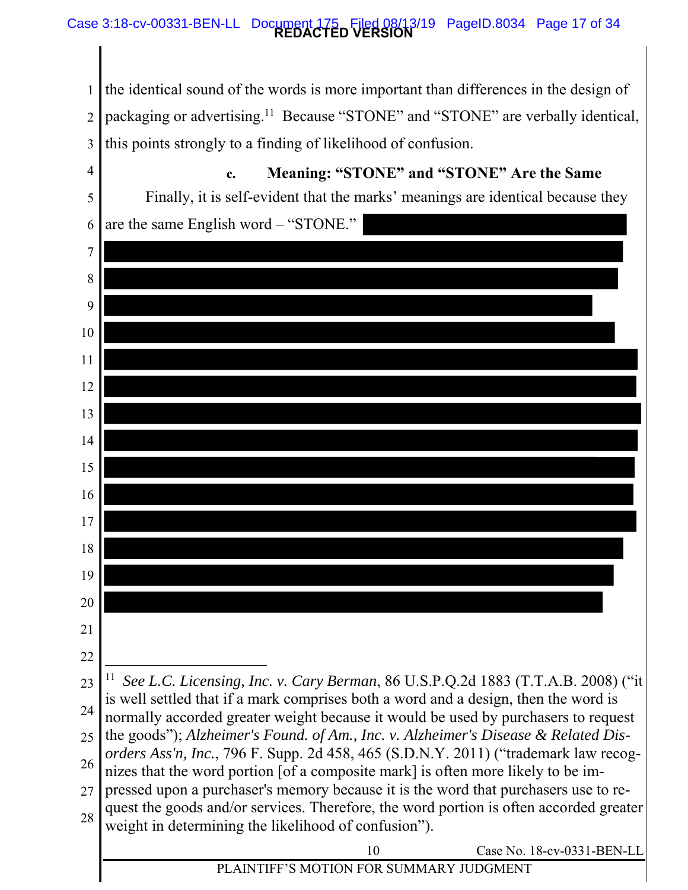### **REDACTED VERSION** Case 3:18-cv-00331-BEN-LL Document 175 Filed 08/13/19 PageID.8034 Page 17 of 34

1 2 3 the identical sound of the words is more important than differences in the design of packaging or advertising.11 Because "STONE" and "STONE" are verbally identical, this points strongly to a finding of likelihood of confusion.

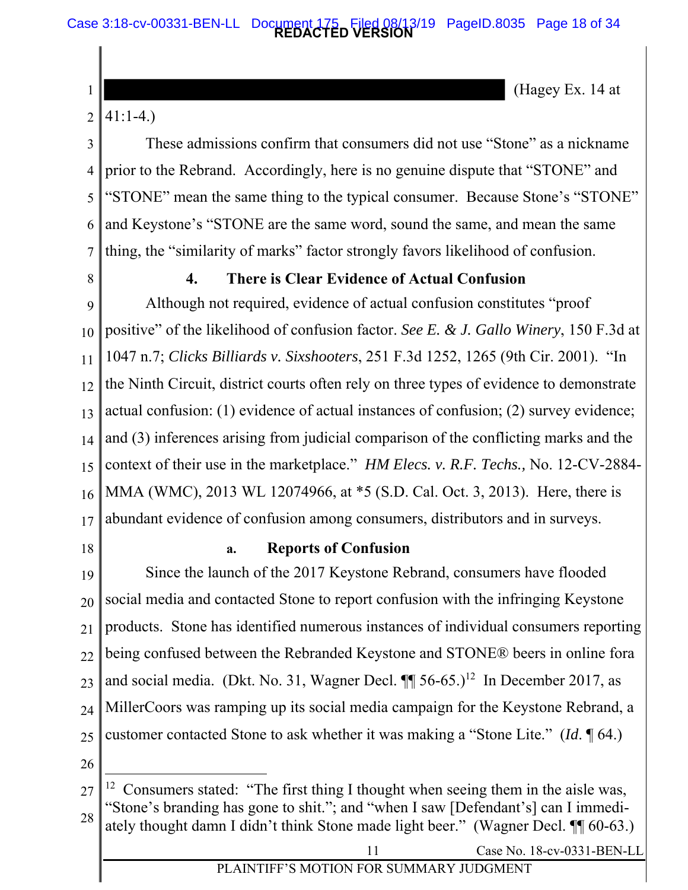### **REDACTED VERSION** Case 3:18-cv-00331-BEN-LL Document 175 Filed 08/13/19 PageID.8035 Page 18 of 34

(Hagey Ex. 14 at

#### 2 41:1-4.)

1

3 4 5 6 7 These admissions confirm that consumers did not use "Stone" as a nickname prior to the Rebrand. Accordingly, here is no genuine dispute that "STONE" and "STONE" mean the same thing to the typical consumer. Because Stone's "STONE" and Keystone's "STONE are the same word, sound the same, and mean the same thing, the "similarity of marks" factor strongly favors likelihood of confusion.

8

### **4. There is Clear Evidence of Actual Confusion**

 $\overline{Q}$ 10 11 12 13 14 15 16 17 positive" of the likelihood of confusion factor. *See E. & J. Gallo Winery*, 150 F.3d at Although not required, evidence of actual confusion constitutes "proof 1047 n.7; *Clicks Billiards v. Sixshooters*, 251 F.3d 1252, 1265 (9th Cir. 2001). "In the Ninth Circuit, district courts often rely on three types of evidence to demonstrate actual confusion: (1) evidence of actual instances of confusion; (2) survey evidence; and (3) inferences arising from judicial comparison of the conflicting marks and the context of their use in the marketplace." *HM Elecs. v. R.F. Techs.,* No. 12-CV-2884- MMA (WMC), 2013 WL 12074966, at \*5 (S.D. Cal. Oct. 3, 2013). Here, there is abundant evidence of confusion among consumers, distributors and in surveys.

18

### **a. Reports of Confusion**

19 20 21 22 23 24 25 Since the launch of the 2017 Keystone Rebrand, consumers have flooded social media and contacted Stone to report confusion with the infringing Keystone products. Stone has identified numerous instances of individual consumers reporting being confused between the Rebranded Keystone and STONE® beers in online fora and social media. (Dkt. No. 31, Wagner Decl.  $\P\P$  56-65.)<sup>12</sup> In December 2017, as MillerCoors was ramping up its social media campaign for the Keystone Rebrand, a customer contacted Stone to ask whether it was making a "Stone Lite." (*Id*. ¶ 64.)

26

 $\overline{a}$ 

11 Case No. 18-cv-0331-BEN-LL

<sup>27</sup>  28 <sup>12</sup> Consumers stated: "The first thing I thought when seeing them in the aisle was, "Stone's branding has gone to shit."; and "when I saw [Defendant's] can I immediately thought damn I didn't think Stone made light beer." (Wagner Decl. ¶¶ 60-63.)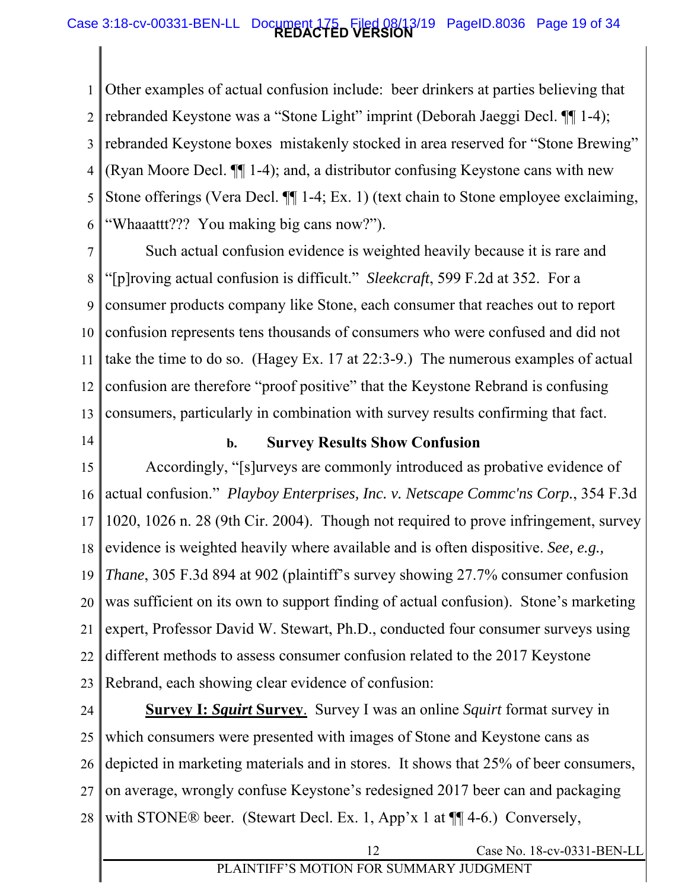### **REDACTED VERSION** Case 3:18-cv-00331-BEN-LL Document 175 Filed 08/13/19 PageID.8036 Page 19 of 34

1 2 3 4 5 6 Other examples of actual confusion include: beer drinkers at parties believing that rebranded Keystone was a "Stone Light" imprint (Deborah Jaeggi Decl. ¶¶ 1-4); rebranded Keystone boxes mistakenly stocked in area reserved for "Stone Brewing" (Ryan Moore Decl. ¶¶ 1-4); and, a distributor confusing Keystone cans with new Stone offerings (Vera Decl. ¶¶ 1-4; Ex. 1) (text chain to Stone employee exclaiming, "Whaaattt??? You making big cans now?").

7 8 9 10 11 12 13 confusion represents tens thousands of consumers who were confused and did not Such actual confusion evidence is weighted heavily because it is rare and "[p]roving actual confusion is difficult." *Sleekcraft*, 599 F.2d at 352. For a consumer products company like Stone, each consumer that reaches out to report take the time to do so. (Hagey Ex. 17 at 22:3-9.) The numerous examples of actual confusion are therefore "proof positive" that the Keystone Rebrand is confusing consumers, particularly in combination with survey results confirming that fact.

14

### **b. Survey Results Show Confusion**

15 16 17 18 19 20 21 22 23 Accordingly, "[s]urveys are commonly introduced as probative evidence of actual confusion." *Playboy Enterprises, Inc. v. Netscape Commc'ns Corp.*, 354 F.3d 1020, 1026 n. 28 (9th Cir. 2004). Though not required to prove infringement, survey evidence is weighted heavily where available and is often dispositive. *See, e.g., Thane*, 305 F.3d 894 at 902 (plaintiff's survey showing 27.7% consumer confusion was sufficient on its own to support finding of actual confusion). Stone's marketing expert, Professor David W. Stewart, Ph.D., conducted four consumer surveys using different methods to assess consumer confusion related to the 2017 Keystone Rebrand, each showing clear evidence of confusion:

24 25 26 27 28 **Survey I:** *Squirt* **Survey**. Survey I was an online *Squirt* format survey in which consumers were presented with images of Stone and Keystone cans as depicted in marketing materials and in stores. It shows that 25% of beer consumers, on average, wrongly confuse Keystone's redesigned 2017 beer can and packaging with STONE® beer. (Stewart Decl. Ex. 1, App'x 1 at  $\P$ [4-6.) Conversely,

12 Case No. 18-cv-0331-BEN-LL

### PLAINTIFF'S MOTION FOR SUMMARY JUDGMENT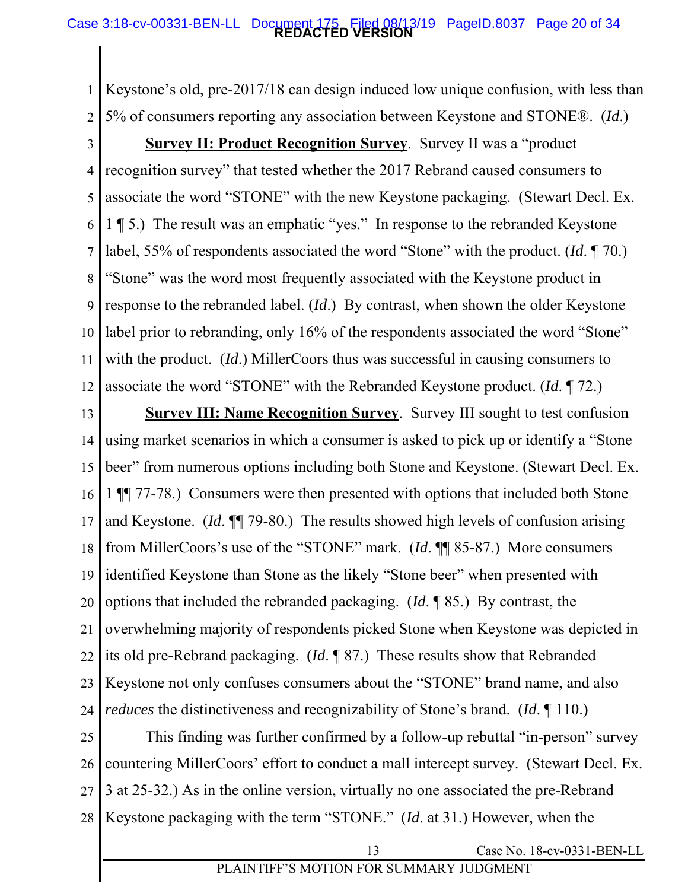### **REDACTED VERSION** Case 3:18-cv-00331-BEN-LL Document 175 Filed 08/13/19 PageID.8037 Page 20 of 34

1 2 Keystone's old, pre-2017/18 can design induced low unique confusion, with less than 5% of consumers reporting any association between Keystone and STONE®. (*Id*.)

3 4 5 6 7 8 9 10 11 12 label prior to rebranding, only 16% of the respondents associated the word "Stone" **Survey II: Product Recognition Survey**.Survey II was a "product recognition survey" that tested whether the 2017 Rebrand caused consumers to associate the word "STONE" with the new Keystone packaging. (Stewart Decl. Ex. 1 ¶ 5.) The result was an emphatic "yes." In response to the rebranded Keystone label, 55% of respondents associated the word "Stone" with the product. (*Id*. ¶ 70.) "Stone" was the word most frequently associated with the Keystone product in response to the rebranded label. (*Id*.) By contrast, when shown the older Keystone with the product. *(Id.)* MillerCoors thus was successful in causing consumers to associate the word "STONE" with the Rebranded Keystone product. (*Id*. ¶ 72.)

13 14 15 16 17 18 19 20 21 22 23 24 **Survey III: Name Recognition Survey**. Survey III sought to test confusion using market scenarios in which a consumer is asked to pick up or identify a "Stone beer" from numerous options including both Stone and Keystone. (Stewart Decl. Ex. 1 ¶¶ 77-78.) Consumers were then presented with options that included both Stone and Keystone. (*Id*. ¶¶ 79-80.) The results showed high levels of confusion arising from MillerCoors's use of the "STONE" mark. (*Id*. ¶¶ 85-87.) More consumers identified Keystone than Stone as the likely "Stone beer" when presented with options that included the rebranded packaging. (*Id*. ¶ 85.) By contrast, the overwhelming majority of respondents picked Stone when Keystone was depicted in its old pre-Rebrand packaging. (*Id*. ¶ 87.) These results show that Rebranded Keystone not only confuses consumers about the "STONE" brand name, and also *reduces* the distinctiveness and recognizability of Stone's brand. (*Id*. ¶ 110.)

25 26 27 28 This finding was further confirmed by a follow-up rebuttal "in-person" survey countering MillerCoors' effort to conduct a mall intercept survey. (Stewart Decl. Ex. 3 at 25-32.) As in the online version, virtually no one associated the pre-Rebrand Keystone packaging with the term "STONE." (*Id*. at 31.) However, when the

13 Case No. 18-cv-0331-BEN-LL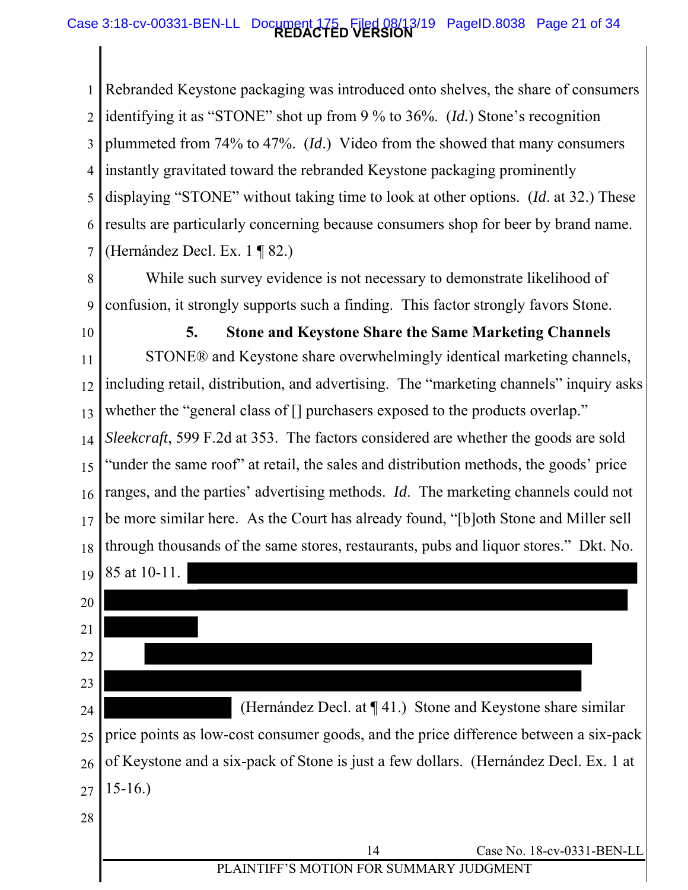### **REDACTED VERSION** Case 3:18-cv-00331-BEN-LL Document 175 Filed 08/13/19 PageID.8038 Page 21 of 34

1 2 3 4 5 6 7 Rebranded Keystone packaging was introduced onto shelves, the share of consumers identifying it as "STONE" shot up from 9 % to 36%. (*Id.*) Stone's recognition plummeted from 74% to 47%. (*Id*.) Video from the showed that many consumers instantly gravitated toward the rebranded Keystone packaging prominently displaying "STONE" without taking time to look at other options. (*Id*. at 32.) These results are particularly concerning because consumers shop for beer by brand name. (Hernández Decl. Ex. 1 ¶ 82.)

- 8 9 While such survey evidence is not necessary to demonstrate likelihood of confusion, it strongly supports such a finding. This factor strongly favors Stone.
- 10

11 12 13 14 15 16 17 18 **5. Stone and Keystone Share the Same Marketing Channels**  STONE® and Keystone share overwhelmingly identical marketing channels, including retail, distribution, and advertising. The "marketing channels" inquiry asks whether the "general class of [] purchasers exposed to the products overlap." *Sleekcraft*, 599 F.2d at 353. The factors considered are whether the goods are sold "under the same roof" at retail, the sales and distribution methods, the goods' price ranges, and the parties' advertising methods. *Id*. The marketing channels could not be more similar here. As the Court has already found, "[b]oth Stone and Miller sell through thousands of the same stores, restaurants, pubs and liquor stores." Dkt. No.

19 85 at 10-11.

20

21 22 23 24 25 26 27 (Hernández Decl. at ¶ 41.) Stone and Keystone share similar price points as low-cost consumer goods, and the price difference between a six-pack of Keystone and a six-pack of Stone is just a few dollars. (Hernández Decl. Ex. 1 at 15-16.)

28

14 Case No. 18-cv-0331-BEN-LL

## PLAINTIFF'S MOTION FOR SUMMARY JUDGMENT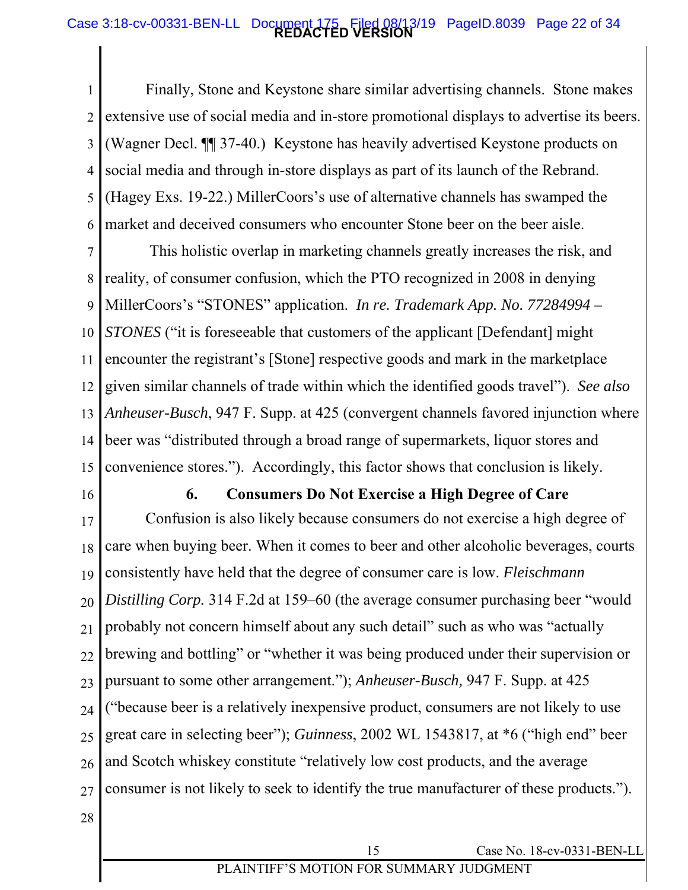### **REDACTED VERSION** Case 3:18-cv-00331-BEN-LL Document 175 Filed 08/13/19 PageID.8039 Page 22 of 34

1 2 3 4 5 6 Finally, Stone and Keystone share similar advertising channels. Stone makes extensive use of social media and in-store promotional displays to advertise its beers. (Wagner Decl. ¶¶ 37-40.) Keystone has heavily advertised Keystone products on social media and through in-store displays as part of its launch of the Rebrand. (Hagey Exs. 19-22.) MillerCoors's use of alternative channels has swamped the market and deceived consumers who encounter Stone beer on the beer aisle.

7 8 9 10 11 12 13 14 15 *STONES* ("it is foreseeable that customers of the applicant [Defendant] might This holistic overlap in marketing channels greatly increases the risk, and reality, of consumer confusion, which the PTO recognized in 2008 in denying MillerCoors's "STONES" application. *In re. Trademark App. No. 77284994 –*  encounter the registrant's [Stone] respective goods and mark in the marketplace given similar channels of trade within which the identified goods travel"). *See also Anheuser-Busch*, 947 F. Supp. at 425 (convergent channels favored injunction where beer was "distributed through a broad range of supermarkets, liquor stores and convenience stores."). Accordingly, this factor shows that conclusion is likely.

16

### **6. Consumers Do Not Exercise a High Degree of Care**

17 18 19 20 21 22  $23$ 24 25 26 27 Confusion is also likely because consumers do not exercise a high degree of care when buying beer. When it comes to beer and other alcoholic beverages, courts consistently have held that the degree of consumer care is low. *Fleischmann Distilling Corp.* 314 F.2d at 159–60 (the average consumer purchasing beer "would probably not concern himself about any such detail" such as who was "actually brewing and bottling" or "whether it was being produced under their supervision or pursuant to some other arrangement."); *Anheuser-Busch,* 947 F. Supp. at 425 ("because beer is a relatively inexpensive product, consumers are not likely to use great care in selecting beer"); *Guinness*, 2002 WL 1543817, at \*6 ("high end" beer and Scotch whiskey constitute "relatively low cost products, and the average consumer is not likely to seek to identify the true manufacturer of these products.").

28

15 Case No. 18-cv-0331-BEN-LL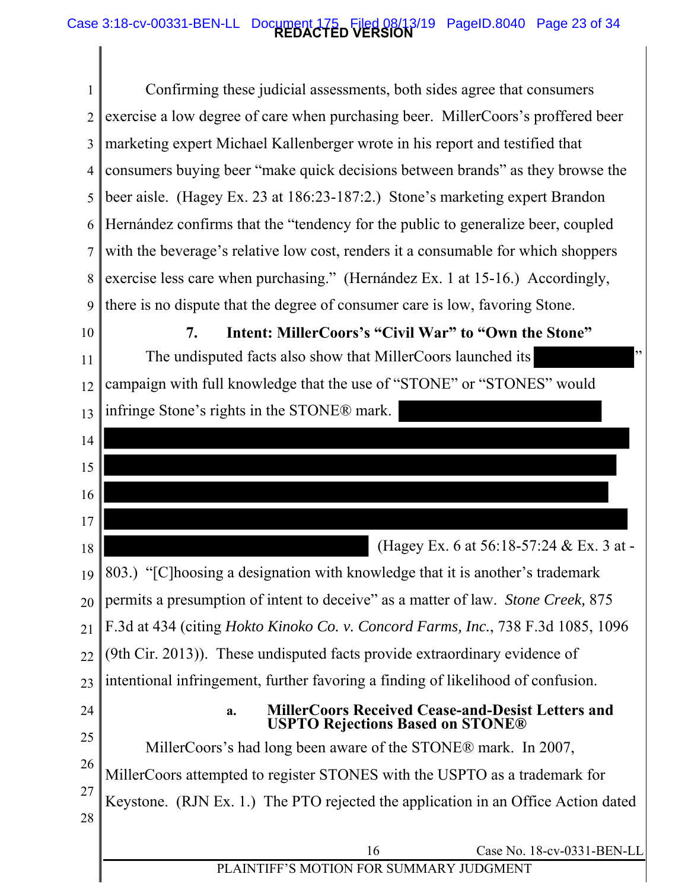### **REDACTED VERSION** Case 3:18-cv-00331-BEN-LL Document 175 Filed 08/13/19 PageID.8040 Page 23 of 34

1 2 3 4 5 6 7 8 9 10 11 12 13 14 15 16 17 18 19 20 21 22  $23$ 24 25 26 27 28 16 Case No. 18-cv-0331-BEN-LL PLAINTIFF'S MOTION FOR SUMMARY JUDGMENT Confirming these judicial assessments, both sides agree that consumers exercise a low degree of care when purchasing beer. MillerCoors's proffered beer marketing expert Michael Kallenberger wrote in his report and testified that consumers buying beer "make quick decisions between brands" as they browse the beer aisle. (Hagey Ex. 23 at 186:23-187:2.) Stone's marketing expert Brandon Hernández confirms that the "tendency for the public to generalize beer, coupled with the beverage's relative low cost, renders it a consumable for which shoppers exercise less care when purchasing." (Hernández Ex. 1 at 15-16.) Accordingly, there is no dispute that the degree of consumer care is low, favoring Stone. **7. Intent: MillerCoors's "Civil War" to "Own the Stone"**  The undisputed facts also show that MillerCoors launched its " campaign with full knowledge that the use of "STONE" or "STONES" would infringe Stone's rights in the STONE® mark. (Hagey Ex. 6 at 56:18-57:24 & Ex. 3 at - 803.) "[C]hoosing a designation with knowledge that it is another's trademark permits a presumption of intent to deceive" as a matter of law. *Stone Creek,* 875 F.3d at 434 (citing *Hokto Kinoko Co. v. Concord Farms, Inc.*, 738 F.3d 1085, 1096 (9th Cir. 2013)). These undisputed facts provide extraordinary evidence of intentional infringement, further favoring a finding of likelihood of confusion. **a. MillerCoors Received Cease-and-Desist Letters and USPTO Rejections Based on STONE®**  MillerCoors's had long been aware of the STONE® mark. In 2007, MillerCoors attempted to register STONES with the USPTO as a trademark for Keystone. (RJN Ex. 1.) The PTO rejected the application in an Office Action dated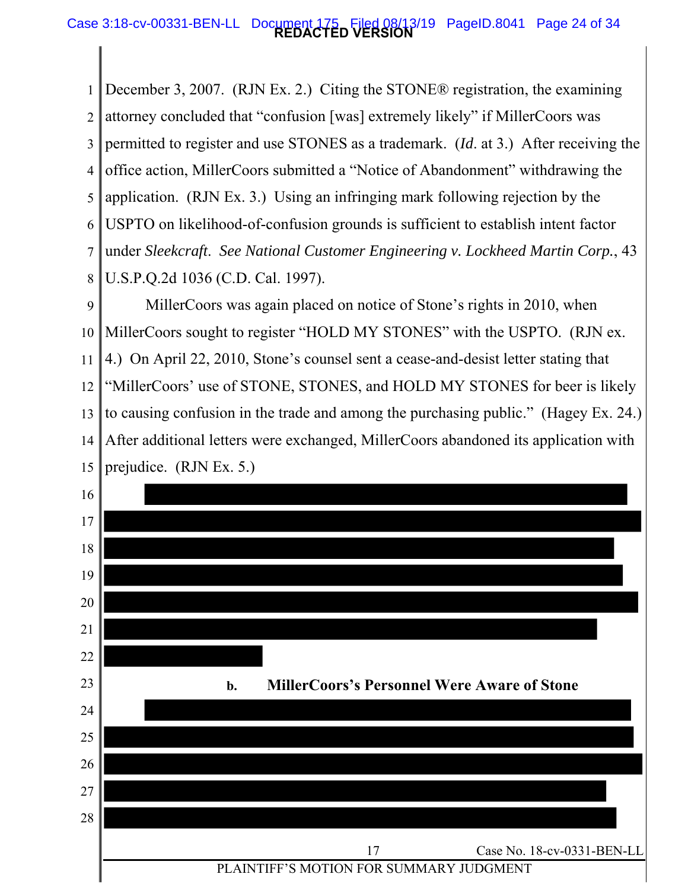### **REDACTED VERSION** Case 3:18-cv-00331-BEN-LL Document 175 Filed 08/13/19 PageID.8041 Page 24 of 34

1 2 3 4 5 6 7 8 December 3, 2007. (RJN Ex. 2.) Citing the STONE® registration, the examining attorney concluded that "confusion [was] extremely likely" if MillerCoors was permitted to register and use STONES as a trademark. (*Id*. at 3.) After receiving the office action, MillerCoors submitted a "Notice of Abandonment" withdrawing the application. (RJN Ex. 3.) Using an infringing mark following rejection by the USPTO on likelihood-of-confusion grounds is sufficient to establish intent factor under *Sleekcraft*. *See National Customer Engineering v. Lockheed Martin Corp.*, 43 U.S.P.Q.2d 1036 (C.D. Cal. 1997).

9 10 11 12 13 14 15 MillerCoors sought to register "HOLD MY STONES" with the USPTO. (RJN ex. MillerCoors was again placed on notice of Stone's rights in 2010, when 4.) On April 22, 2010, Stone's counsel sent a cease-and-desist letter stating that "MillerCoors' use of STONE, STONES, and HOLD MY STONES for beer is likely to causing confusion in the trade and among the purchasing public." (Hagey Ex. 24.) After additional letters were exchanged, MillerCoors abandoned its application with prejudice. (RJN Ex. 5.)

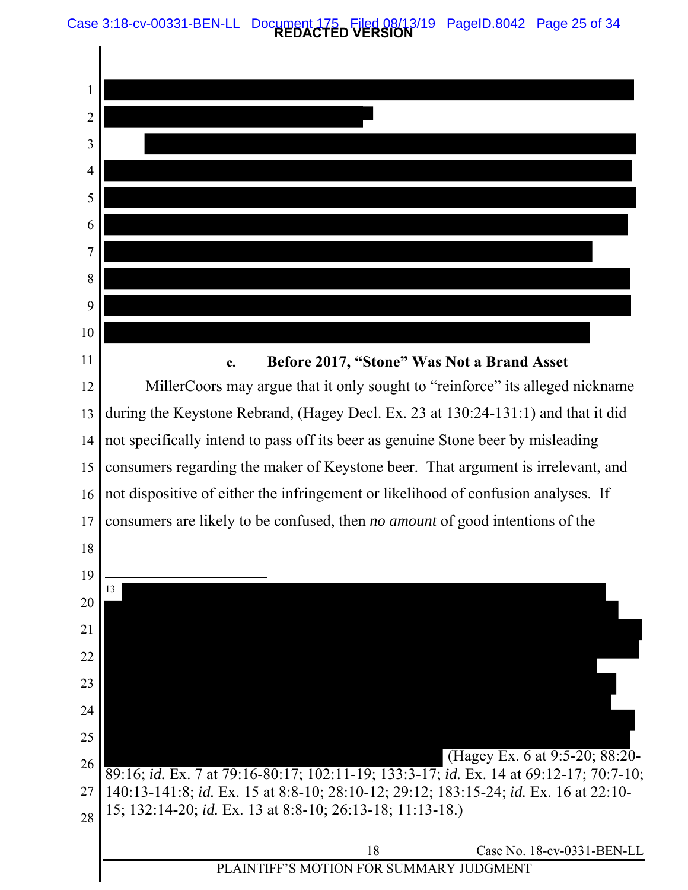Case 3:18-cv-00331-BEN-LL Document 175 Filed 08/13/19 PageID.8042 Page 25 of 34

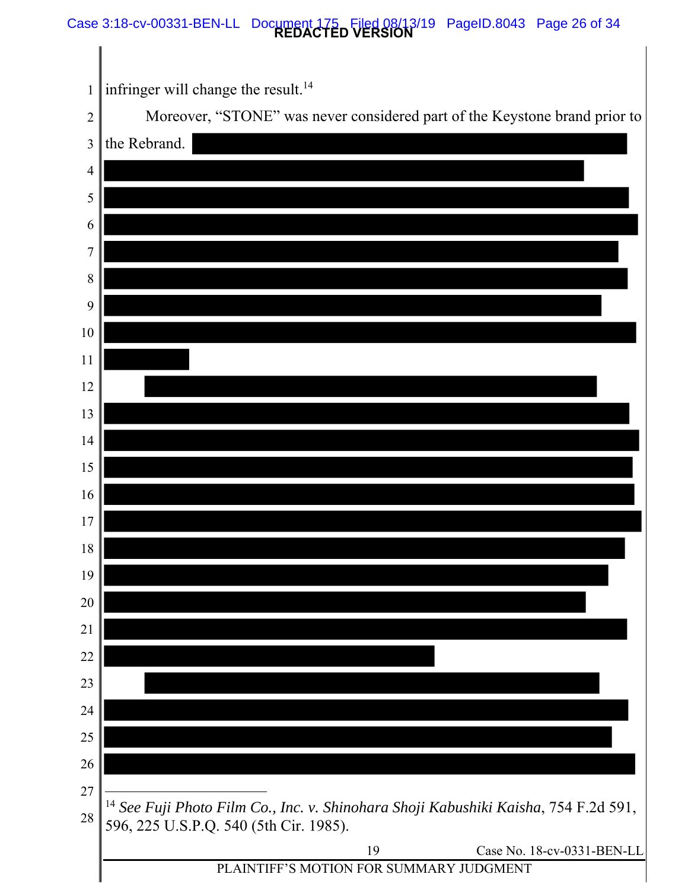#### **REDACTED VERSION** Case 3:18-cv-00331-BEN-LL Document 175 Filed 08/13/19 PageID.8043 Page 26 of 34

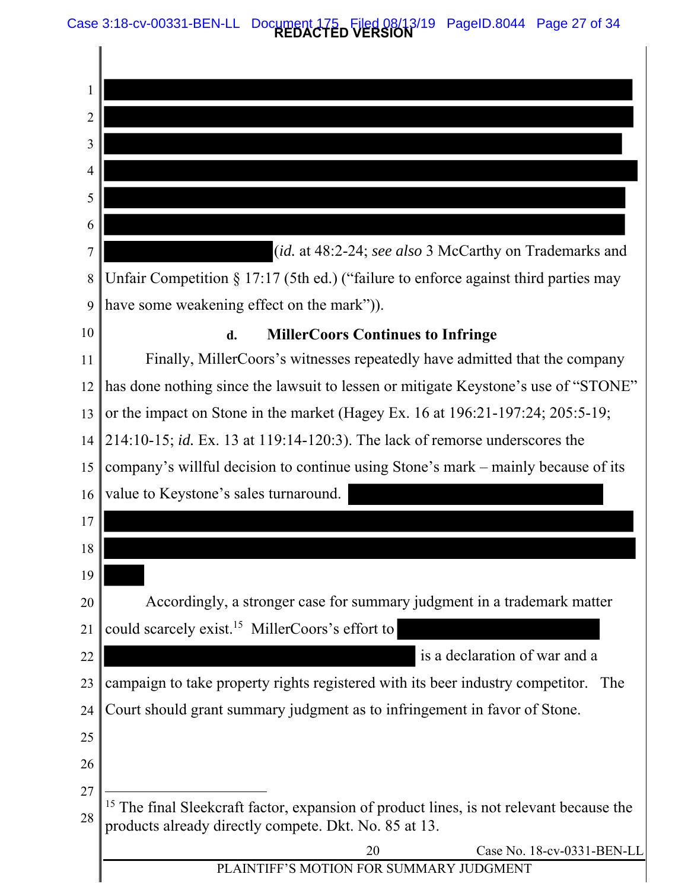Case 3:18-cv-00331-BEN-LL Document 175 Filed 08/13/19 PageID.8044 Page 27 of 34

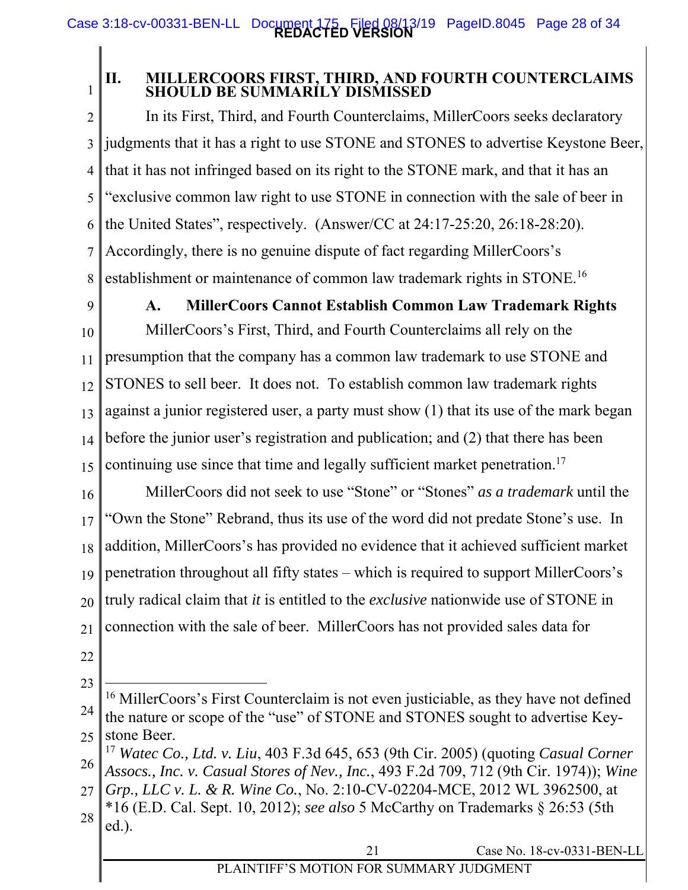1

## **II. MILLERCOORS FIRST, THIRD, AND FOURTH COUNTERCLAIMS SHOULD BE SUMMARILY DISMISSED**

2 3 4 5 6 7 8 In its First, Third, and Fourth Counterclaims, MillerCoors seeks declaratory judgments that it has a right to use STONE and STONES to advertise Keystone Beer, that it has not infringed based on its right to the STONE mark, and that it has an "exclusive common law right to use STONE in connection with the sale of beer in the United States", respectively. (Answer/CC at 24:17-25:20, 26:18-28:20). Accordingly, there is no genuine dispute of fact regarding MillerCoors's establishment or maintenance of common law trademark rights in STONE.16

9

## **A. MillerCoors Cannot Establish Common Law Trademark Rights**

10 11 12 13 14 15 MillerCoors's First, Third, and Fourth Counterclaims all rely on the presumption that the company has a common law trademark to use STONE and STONES to sell beer. It does not. To establish common law trademark rights against a junior registered user, a party must show (1) that its use of the mark began before the junior user's registration and publication; and (2) that there has been continuing use since that time and legally sufficient market penetration.<sup>17</sup>

16 17 18 19 20 21 MillerCoors did not seek to use "Stone" or "Stones" *as a trademark* until the "Own the Stone" Rebrand, thus its use of the word did not predate Stone's use. In addition, MillerCoors's has provided no evidence that it achieved sufficient market penetration throughout all fifty states – which is required to support MillerCoors's truly radical claim that *it* is entitled to the *exclusive* nationwide use of STONE in connection with the sale of beer. MillerCoors has not provided sales data for

- 22
- 23

 $\overline{a}$ 

<sup>24</sup>  25 <sup>16</sup> MillerCoors's First Counterclaim is not even justiciable, as they have not defined the nature or scope of the "use" of STONE and STONES sought to advertise Keystone Beer.

<sup>26</sup>  <sup>17</sup> *Watec Co., Ltd. v. Liu*, 403 F.3d 645, 653 (9th Cir. 2005) (quoting *Casual Corner Assocs., Inc. v. Casual Stores of Nev., Inc.*, 493 F.2d 709, 712 (9th Cir. 1974)); *Wine* 

<sup>27</sup>  28 *Grp., LLC v. L. & R. Wine Co.*, No. 2:10-CV-02204-MCE, 2012 WL 3962500, at \*16 (E.D. Cal. Sept. 10, 2012); *see also* 5 McCarthy on Trademarks § 26:53 (5th ed.).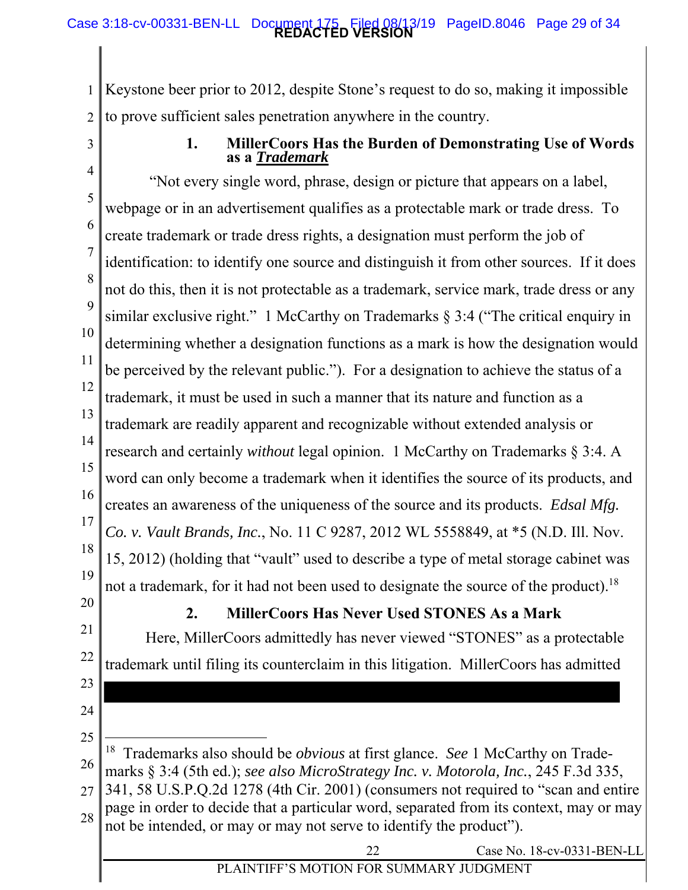1 2 Keystone beer prior to 2012, despite Stone's request to do so, making it impossible to prove sufficient sales penetration anywhere in the country.

3

## **1. MillerCoors Has the Burden of Demonstrating Use of Words as a** *Trademark*

4 5 6 7 8 9 10 11 12 13 14 15 16 17 18 19 similar exclusive right." 1 McCarthy on Trademarks § 3:4 ("The critical enquiry in "Not every single word, phrase, design or picture that appears on a label, webpage or in an advertisement qualifies as a protectable mark or trade dress. To create trademark or trade dress rights, a designation must perform the job of identification: to identify one source and distinguish it from other sources. If it does not do this, then it is not protectable as a trademark, service mark, trade dress or any determining whether a designation functions as a mark is how the designation would be perceived by the relevant public."). For a designation to achieve the status of a trademark, it must be used in such a manner that its nature and function as a trademark are readily apparent and recognizable without extended analysis or research and certainly *without* legal opinion. 1 McCarthy on Trademarks § 3:4. A word can only become a trademark when it identifies the source of its products, and creates an awareness of the uniqueness of the source and its products. *Edsal Mfg. Co. v. Vault Brands, Inc.*, No. 11 C 9287, 2012 WL 5558849, at \*5 (N.D. Ill. Nov. 15, 2012) (holding that "vault" used to describe a type of metal storage cabinet was not a trademark, for it had not been used to designate the source of the product).<sup>18</sup>

20

23

24

## **2. MillerCoors Has Never Used STONES As a Mark**

21 22 Here, MillerCoors admittedly has never viewed "STONES" as a protectable trademark until filing its counterclaim in this litigation. MillerCoors has admitted

- 25 26  $\overline{a}$ 18 Trademarks also should be *obvious* at first glance. *See* 1 McCarthy on Trademarks § 3:4 (5th ed.); *see also MicroStrategy Inc. v. Motorola, Inc.*, 245 F.3d 335,
- 27 28 341, 58 U.S.P.Q.2d 1278 (4th Cir. 2001) (consumers not required to "scan and entire page in order to decide that a particular word, separated from its context, may or may not be intended, or may or may not serve to identify the product").

22 Case No. 18-cv-0331-BEN-LL

## PLAINTIFF'S MOTION FOR SUMMARY JUDGMENT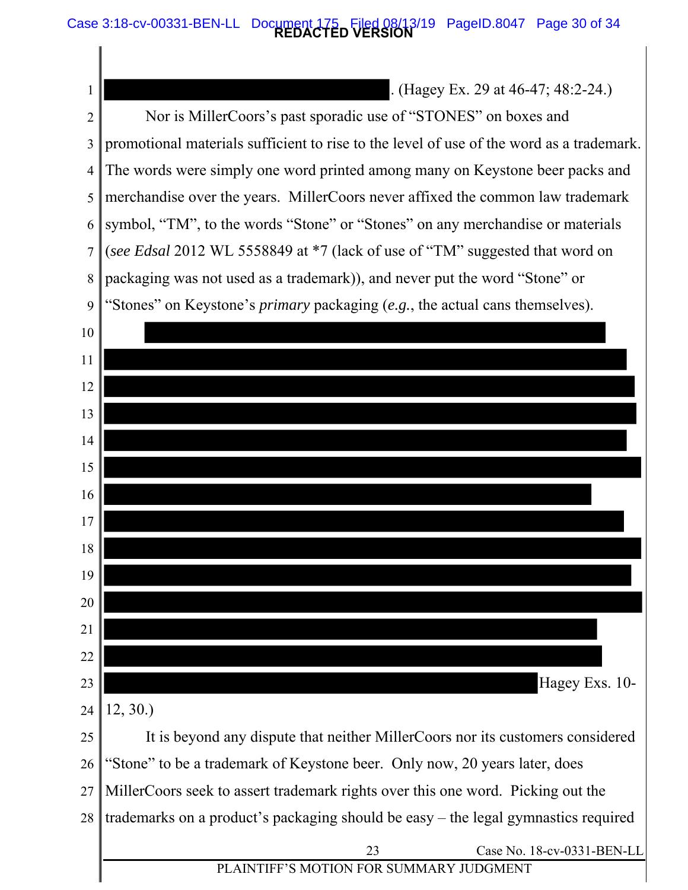#### **REDACTED VERSION** Case 3:18-cv-00331-BEN-LL Document 175 Filed 08/13/19 PageID.8047 Page 30 of 34

1 2 3 4 5 6 7 8  $\overline{Q}$ 10 11 12 13 14 15 16 17 18 19 20 21 22 23 24 25 26 27 . (Hagey Ex. 29 at 46-47; 48:2-24.) Nor is MillerCoors's past sporadic use of "STONES" on boxes and promotional materials sufficient to rise to the level of use of the word as a trademark. The words were simply one word printed among many on Keystone beer packs and merchandise over the years. MillerCoors never affixed the common law trademark symbol, "TM", to the words "Stone" or "Stones" on any merchandise or materials (*see Edsal* 2012 WL 5558849 at \*7 (lack of use of "TM" suggested that word on packaging was not used as a trademark)), and never put the word "Stone" or "Stones" on Keystone's *primary* packaging (*e.g.*, the actual cans themselves). Hagey Exs. 10- 12, 30.) It is beyond any dispute that neither MillerCoors nor its customers considered "Stone" to be a trademark of Keystone beer. Only now, 20 years later, does MillerCoors seek to assert trademark rights over this one word. Picking out the

28 trademarks on a product's packaging should be easy – the legal gymnastics required

> 23 Case No. 18-cv-0331-BEN-LL PLAINTIFF'S MOTION FOR SUMMARY JUDGMENT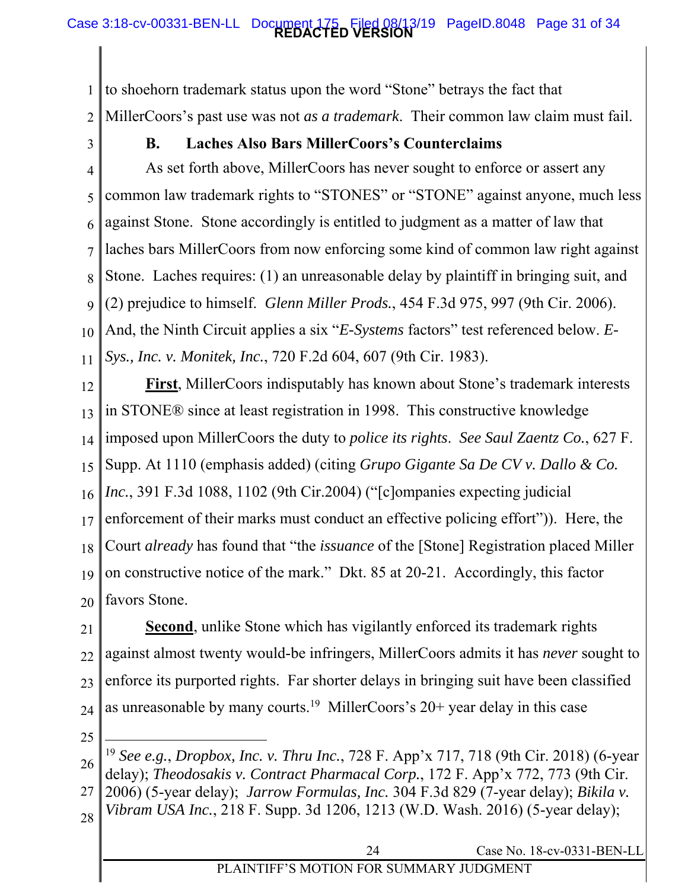### **REDACTED VERSION** Case 3:18-cv-00331-BEN-LL Document 175 Filed 08/13/19 PageID.8048 Page 31 of 34

1 2 to shoehorn trademark status upon the word "Stone" betrays the fact that MillerCoors's past use was not *as a trademark*. Their common law claim must fail.

3

## **B. Laches Also Bars MillerCoors's Counterclaims**

4 5 6 7 8  $\overline{Q}$ 10 11 And, the Ninth Circuit applies a six "*E-Systems* factors" test referenced below. *E-*As set forth above, MillerCoors has never sought to enforce or assert any common law trademark rights to "STONES" or "STONE" against anyone, much less against Stone. Stone accordingly is entitled to judgment as a matter of law that laches bars MillerCoors from now enforcing some kind of common law right against Stone. Laches requires: (1) an unreasonable delay by plaintiff in bringing suit, and (2) prejudice to himself. *Glenn Miller Prods.*, 454 F.3d 975, 997 (9th Cir. 2006). *Sys., Inc. v. Monitek, Inc.*, 720 F.2d 604, 607 (9th Cir. 1983).

12 13 14 15 16 17 18 19 20 **First**, MillerCoors indisputably has known about Stone's trademark interests in STONE® since at least registration in 1998. This constructive knowledge imposed upon MillerCoors the duty to *police its rights*. *See Saul Zaentz Co.*, 627 F. Supp. At 1110 (emphasis added) (citing *Grupo Gigante Sa De CV v. Dallo & Co. Inc.*, 391 F.3d 1088, 1102 (9th Cir.2004) ("[c]ompanies expecting judicial enforcement of their marks must conduct an effective policing effort")). Here, the Court *already* has found that "the *issuance* of the [Stone] Registration placed Miller on constructive notice of the mark." Dkt. 85 at 20-21. Accordingly, this factor favors Stone.

21 22 23 24 **Second**, unlike Stone which has vigilantly enforced its trademark rights against almost twenty would-be infringers, MillerCoors admits it has *never* sought to enforce its purported rights. Far shorter delays in bringing suit have been classified as unreasonable by many courts.<sup>19</sup> MillerCoors's  $20+$  year delay in this case

25

 $\overline{a}$ 

- 27 2006) (5-year delay); *Jarrow Formulas, Inc.* 304 F.3d 829 (7-year delay); *Bikila v.*
- 28 *Vibram USA Inc.*, 218 F. Supp. 3d 1206, 1213 (W.D. Wash. 2016) (5-year delay);

<sup>26</sup>  <sup>19</sup> *See e.g.*, *Dropbox, Inc. v. Thru Inc.*, 728 F. App'x 717, 718 (9th Cir. 2018) (6-year delay); *Theodosakis v. Contract Pharmacal Corp.*, 172 F. App'x 772, 773 (9th Cir.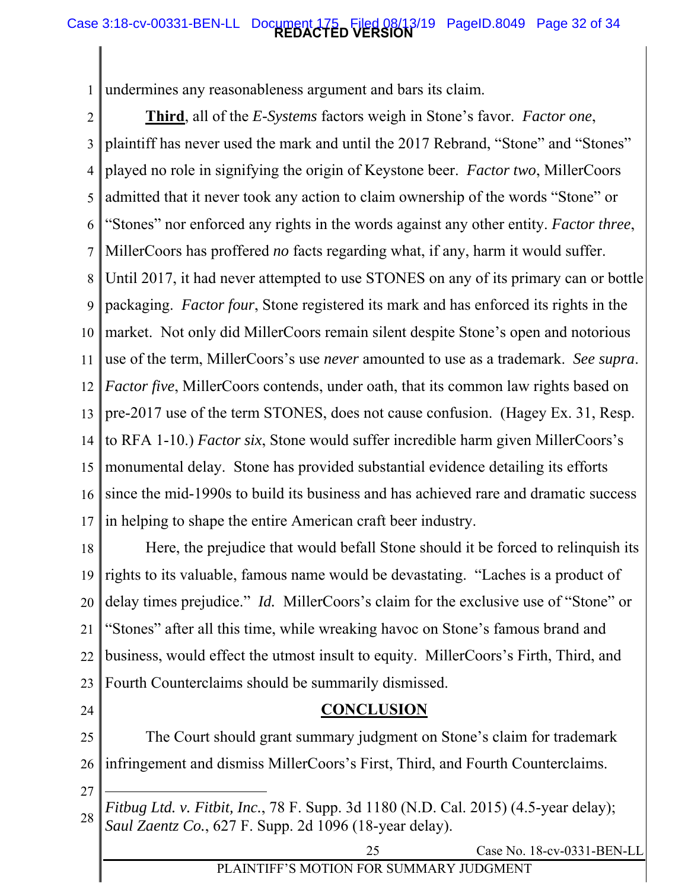### **REDACTED VERSION** Case 3:18-cv-00331-BEN-LL Document 175 Filed 08/13/19 PageID.8049 Page 32 of 34

1 undermines any reasonableness argument and bars its claim.

2 3 4 5 6 7 8 9 10 11 12 13 14 15 16 17 market. Not only did MillerCoors remain silent despite Stone's open and notorious **Third**, all of the *E-Systems* factors weigh in Stone's favor. *Factor one*, plaintiff has never used the mark and until the 2017 Rebrand, "Stone" and "Stones" played no role in signifying the origin of Keystone beer. *Factor two*, MillerCoors admitted that it never took any action to claim ownership of the words "Stone" or "Stones" nor enforced any rights in the words against any other entity. *Factor three*, MillerCoors has proffered *no* facts regarding what, if any, harm it would suffer. Until 2017, it had never attempted to use STONES on any of its primary can or bottle packaging. *Factor four*, Stone registered its mark and has enforced its rights in the use of the term, MillerCoors's use *never* amounted to use as a trademark. *See supra*. *Factor five*, MillerCoors contends, under oath, that its common law rights based on pre-2017 use of the term STONES, does not cause confusion. (Hagey Ex. 31, Resp. to RFA 1-10.) *Factor six*, Stone would suffer incredible harm given MillerCoors's monumental delay. Stone has provided substantial evidence detailing its efforts since the mid-1990s to build its business and has achieved rare and dramatic success in helping to shape the entire American craft beer industry.

18 19 20 21 22 23 Here, the prejudice that would befall Stone should it be forced to relinquish its rights to its valuable, famous name would be devastating. "Laches is a product of delay times prejudice." *Id.* MillerCoors's claim for the exclusive use of "Stone" or "Stones" after all this time, while wreaking havoc on Stone's famous brand and business, would effect the utmost insult to equity. MillerCoors's Firth, Third, and Fourth Counterclaims should be summarily dismissed.

24

25

 The Court should grant summary judgment on Stone's claim for trademark infringement and dismiss MillerCoors's First, Third, and Fourth Counterclaims.

**CONCLUSION** 

27

 $\overline{a}$ 

26

28 *Fitbug Ltd. v. Fitbit, Inc.*, 78 F. Supp. 3d 1180 (N.D. Cal. 2015) (4.5-year delay); *Saul Zaentz Co.*, 627 F. Supp. 2d 1096 (18-year delay).

25 Case No. 18-cv-0331-BEN-LL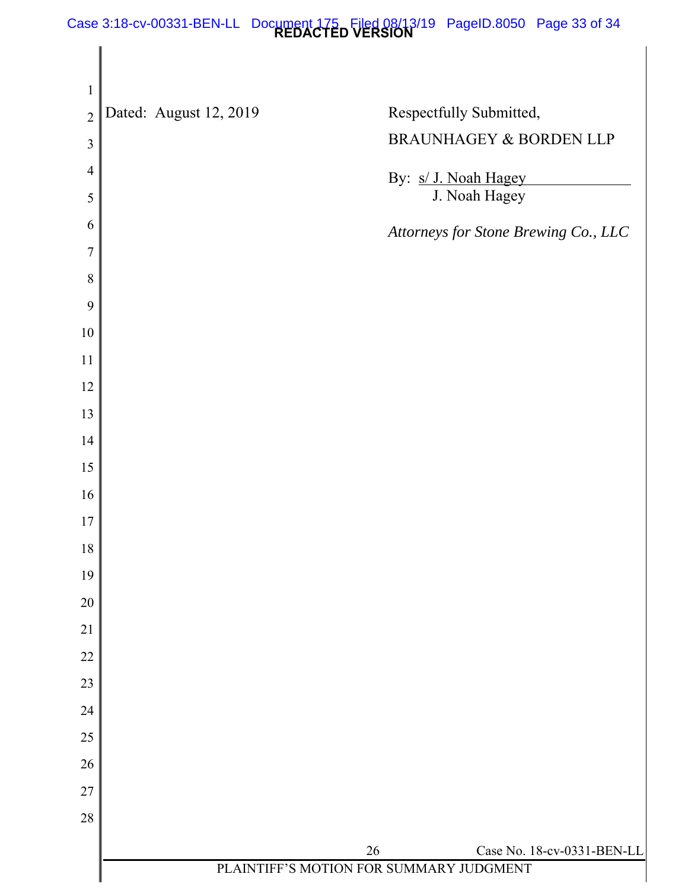#### **REDACTED VERSION** Case 3:18-cv-00331-BEN-LL Document 175 Filed 08/13/19 PageID.8050 Page 33 of 34

| $\mathbf{1}$   |                        |                                         |                                      |
|----------------|------------------------|-----------------------------------------|--------------------------------------|
| $\overline{2}$ | Dated: August 12, 2019 |                                         | Respectfully Submitted,              |
| $\mathfrak{Z}$ |                        |                                         | BRAUNHAGEY & BORDEN LLP              |
| $\overline{4}$ |                        |                                         | By: s/ J. Noah Hagey                 |
| 5              |                        |                                         | J. Noah Hagey                        |
| 6              |                        |                                         | Attorneys for Stone Brewing Co., LLC |
| $\overline{7}$ |                        |                                         |                                      |
| 8              |                        |                                         |                                      |
| 9              |                        |                                         |                                      |
| $10\,$         |                        |                                         |                                      |
| 11             |                        |                                         |                                      |
| 12             |                        |                                         |                                      |
| 13             |                        |                                         |                                      |
| 14             |                        |                                         |                                      |
| 15             |                        |                                         |                                      |
| 16<br>17       |                        |                                         |                                      |
| $18\,$         |                        |                                         |                                      |
| 19             |                        |                                         |                                      |
| 20             |                        |                                         |                                      |
| 21             |                        |                                         |                                      |
| 22             |                        |                                         |                                      |
| 23             |                        |                                         |                                      |
| 24             |                        |                                         |                                      |
| $25\,$         |                        |                                         |                                      |
| 26             |                        |                                         |                                      |
| $27\,$         |                        |                                         |                                      |
| 28             |                        |                                         |                                      |
|                |                        | 26                                      | Case No. 18-cv-0331-BEN-LL           |
|                |                        | PLAINTIFF'S MOTION FOR SUMMARY JUDGMENT |                                      |